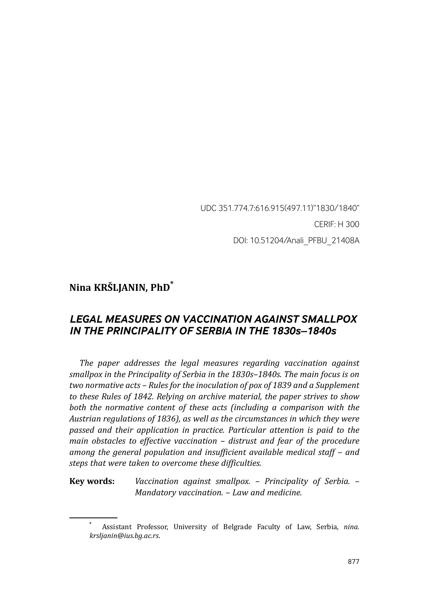UDC 351.774.7:616.915(497.11)"1830/1840" CERIF: H 300 DOI: 10.51204/Anali\_PFBU\_21408A

# **Nina KRŠLJANIN, PhD\***

# *LEGAL MEASURES ON VACCINATION AGAINST SMALLPOX IN THE PRINCIPALITY OF SERBIA IN THE 1830s–1840s*

*The paper addresses the legal measures regarding vaccination against smallpox in the Principality of Serbia in the 1830s–1840s. The main focus is on two normative acts – Rules for the inoculation of pox of 1839 and a Supplement to these Rules of 1842. Relying on archive material, the paper strives to show both the normative content of these acts (including a comparison with the Austrian regulations of 1836), as well as the circumstances in which they were passed and their application in practice. Particular attention is paid to the main obstacles to effective vaccination – distrust and fear of the procedure among the general population and insufficient available medical staff – and steps that were taken to overcome these difficulties.*

**Key words:** *Vaccination against smallpox. – Principality of Serbia. – Mandatory vaccination. – Law and medicine.*

<sup>\*</sup> Assistant Professor, University of Belgrade Faculty of Law, Serbia, *nina. krsljanin@ius.bg.ac.rs*.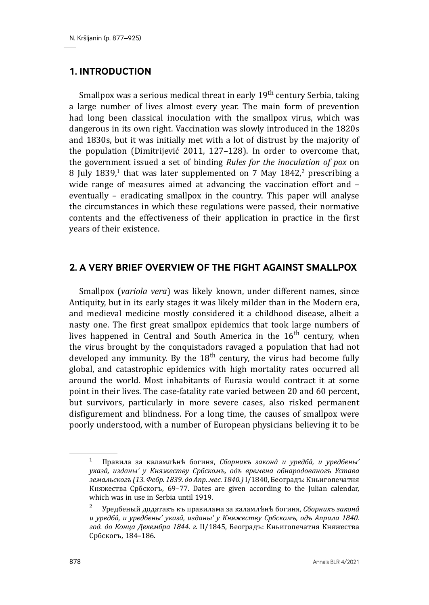# **1. INTRODUCTION**

Smallpox was a serious medical threat in early 19<sup>th</sup> century Serbia, taking a large number of lives almost every year. The main form of prevention had long been classical inoculation with the smallpox virus, which was dangerous in its own right. Vaccination was slowly introduced in the 1820s and 1830s, but it was initially met with a lot of distrust by the majority of the population (Dimitrijević 2011, 127–128). In order to overcome that, the government issued a set of binding *Rules for the inoculation of pox* on 8 July 1839,<sup>1</sup> that was later supplemented on 7 May  $1842$ ,<sup>2</sup> prescribing a wide range of measures aimed at advancing the vaccination effort and – eventually – eradicating smallpox in the country. This paper will analyse the circumstances in which these regulations were passed, their normative contents and the effectiveness of their application in practice in the first years of their existence.

# **2. A VERY BRIEF OVERVIEW OF THE FIGHT AGAINST SMALLPOX**

Smallpox (*variola vera*) was likely known, under different names, since Antiquity, but in its early stages it was likely milder than in the Modern era, and medieval medicine mostly considered it a childhood disease, albeit a nasty one. The first great smallpox epidemics that took large numbers of lives happened in Central and South America in the  $16<sup>th</sup>$  century, when the virus brought by the conquistadors ravaged a population that had not developed any immunity. By the  $18<sup>th</sup>$  century, the virus had become fully global, and catastrophic epidemics with high mortality rates occurred all around the world. Most inhabitants of Eurasia would contract it at some point in their lives. The case-fatality rate varied between 20 and 60 percent, but survivors, particularly in more severe cases, also risked permanent disfigurement and blindness. For a long time, the causes of smallpox were poorly understood, with a number of European physicians believing it to be

<sup>1</sup> Правила за каламлѣнѣ богиня, *Сборникъ законâ и уредбâ, и уредбены' указâ, изданы' у Княжеству Србскомъ, одъ времена обнародованогъ Устава земальскогъ (13. Фебр. 1839. до Апр. мес. 1840.)* I/1840, Београдъ: Кньигопечатня Княжества Србскогъ, 69–77. Dates are given according to the Julian calendar, which was in use in Serbia until 1919.

<sup>2</sup> Уредбеный додатакъ къ правилама за каламлѣнѣ богиня, *Сборникъ законâ и уредбâ, и уредбены' указâ, изданы' у Княжеству Србскомъ, одъ Априла 1840. год. до Конца Декембра 1844. г.* II/1845, Београдъ: Кньигопечатня Княжества Србскогъ, 184–186.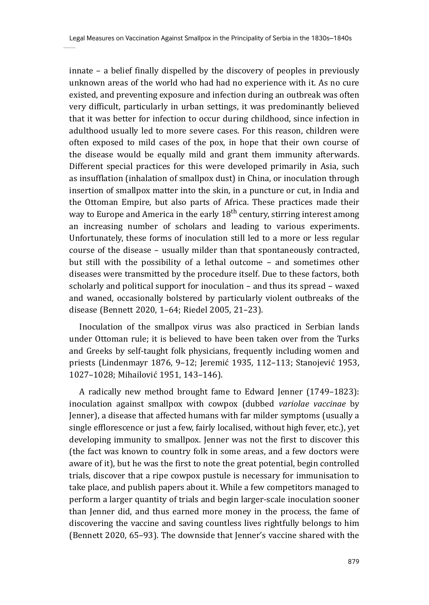innate – a belief finally dispelled by the discovery of peoples in previously unknown areas of the world who had had no experience with it. As no cure existed, and preventing exposure and infection during an outbreak was often very difficult, particularly in urban settings, it was predominantly believed that it was better for infection to occur during childhood, since infection in adulthood usually led to more severe cases. For this reason, children were often exposed to mild cases of the pox, in hope that their own course of the disease would be equally mild and grant them immunity afterwards. Different special practices for this were developed primarily in Asia, such as insufflation (inhalation of smallpox dust) in China, or inoculation through insertion of smallpox matter into the skin, in a puncture or cut, in India and the Ottoman Empire, but also parts of Africa. These practices made their way to Europe and America in the early  $18<sup>th</sup>$  century, stirring interest among an increasing number of scholars and leading to various experiments. Unfortunately, these forms of inoculation still led to a more or less regular course of the disease – usually milder than that spontaneously contracted, but still with the possibility of a lethal outcome – and sometimes other diseases were transmitted by the procedure itself. Due to these factors, both scholarly and political support for inoculation – and thus its spread – waxed and waned, occasionally bolstered by particularly violent outbreaks of the disease (Bennett 2020, 1–64; Riedel 2005, 21–23).

Inoculation of the smallpox virus was also practiced in Serbian lands under Ottoman rule; it is believed to have been taken over from the Turks and Greeks by self-taught folk physicians, frequently including women and priests (Lindenmayr 1876, 9–12; Jeremić 1935, 112–113; Stanojević 1953, 1027–1028; Mihailović 1951, 143–146).

A radically new method brought fame to Edward Jenner (1749–1823): inoculation against smallpox with cowpox (dubbed *variolae vaccinae* by Jenner), a disease that affected humans with far milder symptoms (usually a single efflorescence or just a few, fairly localised, without high fever, etc.), yet developing immunity to smallpox. Jenner was not the first to discover this (the fact was known to country folk in some areas, and a few doctors were aware of it), but he was the first to note the great potential, begin controlled trials, discover that a ripe cowpox pustule is necessary for immunisation to take place, and publish papers about it. While a few competitors managed to perform a larger quantity of trials and begin larger-scale inoculation sooner than Jenner did, and thus earned more money in the process, the fame of discovering the vaccine and saving countless lives rightfully belongs to him (Bennett 2020, 65–93). The downside that Jenner's vaccine shared with the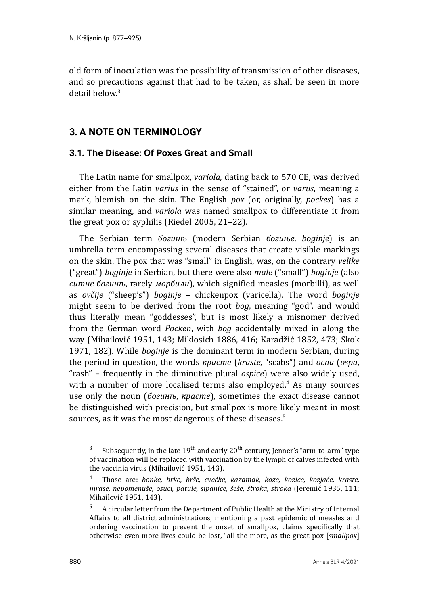old form of inoculation was the possibility of transmission of other diseases, and so precautions against that had to be taken, as shall be seen in more detail below.3

# **3. A NOTE ON TERMINOLOGY**

# **3.1. The Disease: Of Poxes Great and Small**

The Latin name for smallpox, *variola*, dating back to 570 CE, was derived either from the Latin *varius* in the sense of "stained", or *varus*, meaning a mark, blemish on the skin. The English *pox* (or, originally, *pockes*) has a similar meaning, and *variola* was named smallpox to differentiate it from the great pox or syphilis (Riedel 2005, 21–22).

The Serbian term *богинѣ* (modern Serbian *богиње, boginje*) is an umbrella term encompassing several diseases that create visible markings on the skin. The pox that was "small" in English, was, on the contrary *velike*  ("great") *boginje* in Serbian, but there were also *male* ("small") *boginje* (also *ситне богинѣ*, rarely *морбили*), which signified measles (morbilli), as well as *ovčije* ("sheep's") *boginje* – chickenpox (varicella). The word *boginje* might seem to be derived from the root *bog*, meaning "god", and would thus literally mean "goddesses", but is most likely a misnomer derived from the German word *Pocken*, with *bog* accidentally mixed in along the way (Mihailović 1951, 143; Miklosich 1886, 416; Karadžić 1852, 473; Skok 1971, 182). While *boginje* is the dominant term in modern Serbian, during the period in question, the words *красте* (*kraste*, "scabs") and *оспа* (*ospa*, "rash" – frequently in the diminutive plural *ospice*) were also widely used, with a number of more localised terms also employed.<sup>4</sup> As many sources use only the noun (*богинѣ*, *красте*), sometimes the exact disease cannot be distinguished with precision, but smallpox is more likely meant in most sources, as it was the most dangerous of these diseases.<sup>5</sup>

<sup>&</sup>lt;sup>3</sup> Subsequently, in the late  $19<sup>th</sup>$  and early  $20<sup>th</sup>$  century, Jenner's "arm-to-arm" type of vaccination will be replaced with vaccination by the lymph of calves infected with the vaccinia virus (Mihailović 1951, 143).

<sup>4</sup> Those are: *bonke, brke, brše, cvećke, kazamak, koze, kozice, kozjače, kraste, mrase, nepomenuše, osuci, patule, sipanice, šeše, štroka, stroka* (Jeremić 1935, 111; Mihailović 1951, 143).

<sup>5</sup> A circular letter from the Department of Public Health at the Ministry of Internal Affairs to all district administrations, mentioning a past epidemic of measles and ordering vaccination to prevent the onset of smallpox, claims specifically that otherwise even more lives could be lost, "all the more, as the great pox [*smallpox*]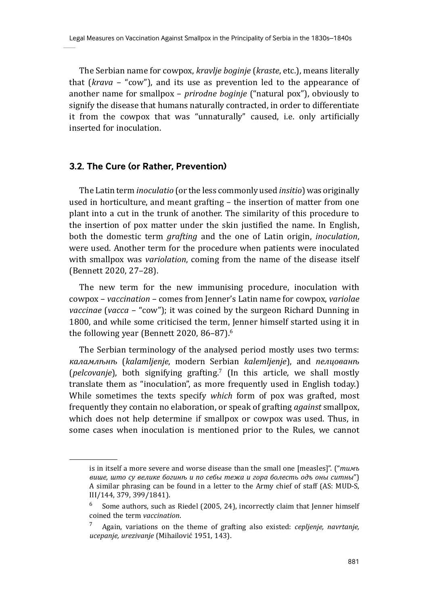The Serbian name for cowpox, *kravlje boginje* (*kraste*, etc.), means literally that (*krava* – "cow"), and its use as prevention led to the appearance of another name for smallpox – *prirodne boginje* ("natural pox"), obviously to signify the disease that humans naturally contracted, in order to differentiate it from the cowpox that was "unnaturally" caused, i.e. only artificially inserted for inoculation.

### **3.2. The Cure (or Rather, Prevention)**

The Latin term *inoculatio* (or the less commonly used *insitio*) was originally used in horticulture, and meant grafting – the insertion of matter from one plant into a cut in the trunk of another. The similarity of this procedure to the insertion of pox matter under the skin justified the name. In English, both the domestic term *grafting* and the one of Latin origin, *inoculation*, were used. Another term for the procedure when patients were inoculated with smallpox was *variolation*, coming from the name of the disease itself (Bennett 2020, 27–28).

The new term for the new immunising procedure, inoculation with cowpox – *vaccination* – comes from Jenner's Latin name for cowpox, *variolae vaccinae* (*vacca* – "cow"); it was coined by the surgeon Richard Dunning in 1800, and while some criticised the term, Jenner himself started using it in the following year (Bennett 2020, 86-87).<sup>6</sup>

The Serbian terminology of the analysed period mostly uses two terms: *каламлѣнѣ* (*kalamljenje*, modern Serbian *kalemljenje*), and *пелцованѣ* (*pelcovanje*), both signifying grafting.7 (In this article, we shall mostly translate them as "inoculation", as more frequently used in English today.) While sometimes the texts specify *which* form of pox was grafted, most frequently they contain no elaboration, or speak of grafting *against* smallpox, which does not help determine if smallpox or cowpox was used. Thus, in some cases when inoculation is mentioned prior to the Rules, we cannot

is in itself a more severe and worse disease than the small one [measles]". ("*тимъ више, што су велике богинѣ и по себы тежа и гора болесть одъ оны ситны*") A similar phrasing can be found in a letter to the Army chief of staff (AS: MUD-S, III/144, 379, 399/1841).

 $6$  Some authors, such as Riedel (2005, 24), incorrectly claim that Jenner himself coined the term *vaccination*.

<sup>7</sup> Again, variations on the theme of grafting also existed: *cepljenje, navrtanje, ucepanje, urezivanje* (Mihailović 1951, 143).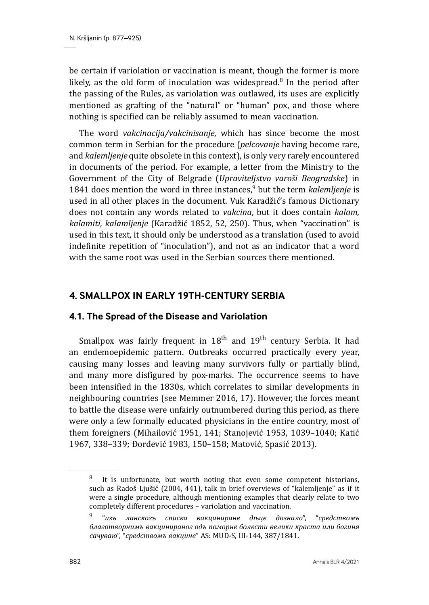be certain if variolation or vaccination is meant, though the former is more likely, as the old form of inoculation was widespread.<sup>8</sup> In the period after the passing of the Rules, as variolation was outlawed, its uses are explicitly mentioned as grafting of the "natural" or "human" pox, and those where nothing is specified can be reliably assumed to mean vaccination.

The word *vakcinacija/vakcinisanje*, which has since become the most common term in Serbian for the procedure (*pelcovanje* having become rare, and *kalemljenje* quite obsolete in this context), is only very rarely encountered in documents of the period. For example, a letter from the Ministry to the Government of the City of Belgrade (*Upraviteljstvo varoši Beogradske*) in 1841 does mention the word in three instances,<sup>9</sup> but the term *kalemljenje* is used in all other places in the document. Vuk Karadžić's famous Dictionary does not contain any words related to *vakcina*, but it does contain *kalam, kalamiti, kalamljenje* (Karadžić 1852, 52, 250). Thus, when "vaccination" is used in this text, it should only be understood as a translation (used to avoid indefinite repetition of "inoculation"), and not as an indicator that a word with the same root was used in the Serbian sources there mentioned.

### **4. SMALLPOX IN EARLY 19TH-CENTURY SERBIA**

#### **4.1. The Spread of the Disease and Variolation**

Smallpox was fairly frequent in  $18<sup>th</sup>$  and  $19<sup>th</sup>$  century Serbia. It had an endemoepidemic pattern. Outbreaks occurred practically every year, causing many losses and leaving many survivors fully or partially blind, and many more disfigured by pox-marks. The occurrence seems to have been intensified in the 1830s, which correlates to similar developments in neighbouring countries (see Memmer 2016, 17). However, the forces meant to battle the disease were unfairly outnumbered during this period, as there were only a few formally educated physicians in the entire country, most of them foreigners (Mihailović 1951, 141; Stanojević 1953, 1039–1040; Katić 1967, 338–339; Đorđević 1983, 150–158; Matović, Spasić 2013).

It is unfortunate, but worth noting that even some competent historians, such as Radoš Ljušić (2004, 441), talk in brief overviews of "kalemljenje" as if it were a single procedure, although mentioning examples that clearly relate to two completely different procedures – variolation and vaccination.

<sup>9 &</sup>quot;*изъ ланскогъ списка вакциниране дѣце дознало*", "*средствомъ благотворнимъ вакцинираног одъ поморне болести велики краста или богиня сачуваю*", "*средствомъ вакцине*" AS: MUD-S, III-144, 387/1841.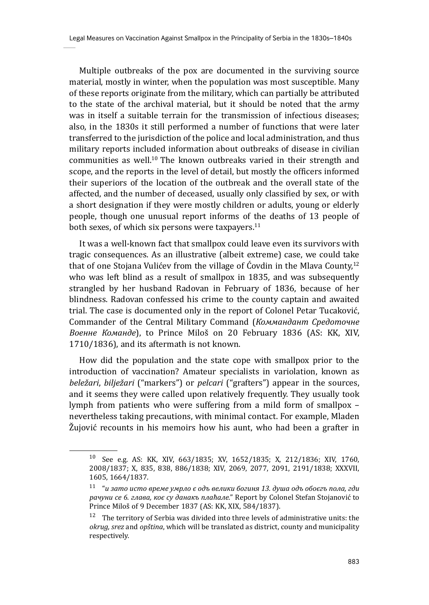Multiple outbreaks of the pox are documented in the surviving source material, mostly in winter, when the population was most susceptible. Many of these reports originate from the military, which can partially be attributed to the state of the archival material, but it should be noted that the army was in itself a suitable terrain for the transmission of infectious diseases; also, in the 1830s it still performed a number of functions that were later transferred to the jurisdiction of the police and local administration, and thus military reports included information about outbreaks of disease in civilian communities as well.<sup>10</sup> The known outbreaks varied in their strength and scope, and the reports in the level of detail, but mostly the officers informed their superiors of the location of the outbreak and the overall state of the affected, and the number of deceased, usually only classified by sex, or with a short designation if they were mostly children or adults, young or elderly people, though one unusual report informs of the deaths of 13 people of both sexes, of which six persons were taxpayers. $^{11}$ 

It was a well-known fact that smallpox could leave even its survivors with tragic consequences. As an illustrative (albeit extreme) case, we could take that of one Stojana Vulićev from the village of Ćovdin in the Mlava County.<sup>12</sup> who was left blind as a result of smallpox in 1835, and was subsequently strangled by her husband Radovan in February of 1836, because of her blindness. Radovan confessed his crime to the county captain and awaited trial. The case is documented only in the report of Colonel Petar Tucaković, Commander of the Central Military Command (*Коммандант Средоточне Военне Команде*), to Prince Miloš on 20 February 1836 (AS: KK, XIV, 1710/1836), and its aftermath is not known.

How did the population and the state cope with smallpox prior to the introduction of vaccination? Amateur specialists in variolation, known as *beležari*, *bilježari* ("markers") or *pelcari* ("grafters") appear in the sources, and it seems they were called upon relatively frequently. They usually took lymph from patients who were suffering from a mild form of smallpox – nevertheless taking precautions, with minimal contact. For example, Mladen Žujović recounts in his memoirs how his aunt, who had been a grafter in

<sup>10</sup> See e.g. AS: KK, XIV, 663/1835; XV, 1652/1835; X, 212/1836; XIV, 1760, 2008/1837; X, 835, 838, 886/1838; XIV, 2069, 2077, 2091, 2191/1838; XXXVII, 1605, 1664/1837.

<sup>11 &</sup>quot;*и зато исто време умрло є одъ велики богиня 13. душа одъ обоєгъ пола, гди рачуни се 6. глава, коє су данакъ плаћале.*" Report by Colonel Stefan Stojanović to Prince Miloš of 9 December 1837 (AS: KK, XIX, 584/1837).

 $12$  The territory of Serbia was divided into three levels of administrative units: the *okrug, srez* and *opština*, which will be translated as district, county and municipality respectively.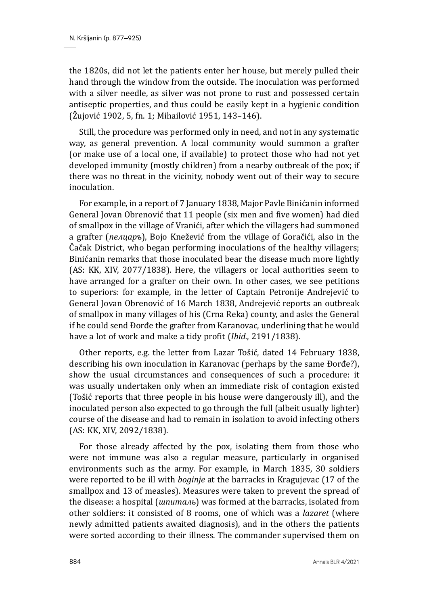the 1820s, did not let the patients enter her house, but merely pulled their hand through the window from the outside. The inoculation was performed with a silver needle, as silver was not prone to rust and possessed certain antiseptic properties, and thus could be easily kept in a hygienic condition (Žujović 1902, 5, fn. 1; Mihailović 1951, 143–146).

Still, the procedure was performed only in need, and not in any systematic way, as general prevention. A local community would summon a grafter (or make use of a local one, if available) to protect those who had not yet developed immunity (mostly children) from a nearby outbreak of the pox; if there was no threat in the vicinity, nobody went out of their way to secure inoculation.

For example, in a report of 7 January 1838, Major Pavle Binićanin informed General Jovan Obrenović that 11 people (six men and five women) had died of smallpox in the village of Vranići, after which the villagers had summoned a grafter (*пелцаръ*), Bojo Knežević from the village of Goračići, also in the Čačak District, who began performing inoculations of the healthy villagers; Binićanin remarks that those inoculated bear the disease much more lightly (AS: KK, XIV, 2077/1838). Here, the villagers or local authorities seem to have arranged for a grafter on their own. In other cases, we see petitions to superiors: for example, in the letter of Captain Petronije Andrejević to General Jovan Obrenović of 16 March 1838, Andrejević reports an outbreak of smallpox in many villages of his (Crna Reka) county, and asks the General if he could send Đorđe the grafter from Karanovac, underlining that he would have a lot of work and make a tidy profit (*Ibid.*, 2191/1838).

Other reports, e.g. the letter from Lazar Tošić, dated 14 February 1838, describing his own inoculation in Karanovac (perhaps by the same Đorđe?), show the usual circumstances and consequences of such a procedure: it was usually undertaken only when an immediate risk of contagion existed (Tošić reports that three people in his house were dangerously ill), and the inoculated person also expected to go through the full (albeit usually lighter) course of the disease and had to remain in isolation to avoid infecting others (AS: KK, XIV, 2092/1838).

For those already affected by the pox, isolating them from those who were not immune was also a regular measure, particularly in organised environments such as the army. For example, in March 1835, 30 soldiers were reported to be ill with *boginje* at the barracks in Kragujevac (17 of the smallpox and 13 of measles). Measures were taken to prevent the spread of the disease: a hospital (*шпиталь*) was formed at the barracks, isolated from other soldiers: it consisted of 8 rooms, one of which was a *lazaret* (where newly admitted patients awaited diagnosis), and in the others the patients were sorted according to their illness. The commander supervised them on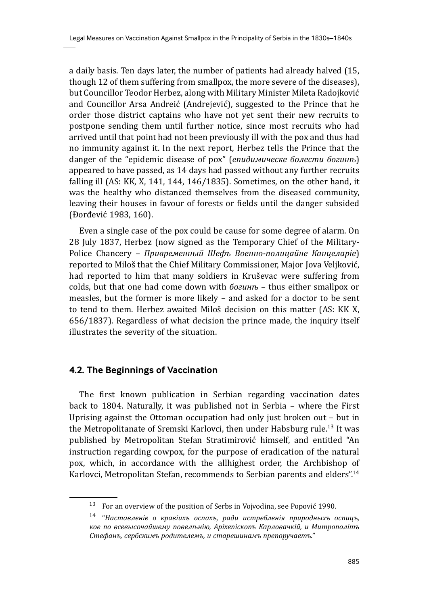a daily basis. Ten days later, the number of patients had already halved (15, though 12 of them suffering from smallpox, the more severe of the diseases), but Councillor Teodor Herbez, along with Military Minister Mileta Radojković and Councillor Arsa Andreić (Andrejević), suggested to the Prince that he order those district captains who have not yet sent their new recruits to postpone sending them until further notice, since most recruits who had arrived until that point had not been previously ill with the pox and thus had no immunity against it. In the next report, Herbez tells the Prince that the danger of the "epidemic disease of pox" (*епидимическе болести богинѣ*) appeared to have passed, as 14 days had passed without any further recruits falling ill (AS: KK, X, 141, 144, 146/1835). Sometimes, on the other hand, it was the healthy who distanced themselves from the diseased community, leaving their houses in favour of forests or fields until the danger subsided (Đorđević 1983, 160).

Even a single case of the pox could be cause for some degree of alarm. On 28 July 1837, Herbez (now signed as the Temporary Chief of the Military-Police Chancery – *Привременный Шефъ Военно-полицайне Канцеларiе*) reported to Miloš that the Chief Military Commissioner, Major Jova Veljković, had reported to him that many soldiers in Kruševac were suffering from colds, but that one had come down with *богинѣ* – thus either smallpox or measles, but the former is more likely – and asked for a doctor to be sent to tend to them. Herbez awaited Miloš decision on this matter (AS: KK X, 656/1837). Regardless of what decision the prince made, the inquiry itself illustrates the severity of the situation.

#### **4.2. The Beginnings of Vaccination**

The first known publication in Serbian regarding vaccination dates back to 1804. Naturally, it was published not in Serbia – where the First Uprising against the Ottoman occupation had only just broken out – but in the Metropolitanate of Sremski Karlovci, then under Habsburg rule.<sup>13</sup> It was published by Metropolitan Stefan Stratimirović himself, and entitled "An instruction regarding cowpox, for the purpose of eradication of the natural pox, which, in accordance with the allhighest order, the Archbishop of Karlovci, Metropolitan Stefan, recommends to Serbian parents and elders".<sup>14</sup>

 $13$  For an overview of the position of Serbs in Vojvodina, see Popović 1990.

<sup>14 &</sup>quot;*Наставленiе о кравiихъ оспахъ, ради истребленiя природныхъ оспицъ, кое по всевысочайшему повелѣнiю, Арiхепiскопъ Карловачкiй, и Митрополiтъ Стефанъ, сербскимъ родителемъ, и старешинамъ препоручаетъ.*"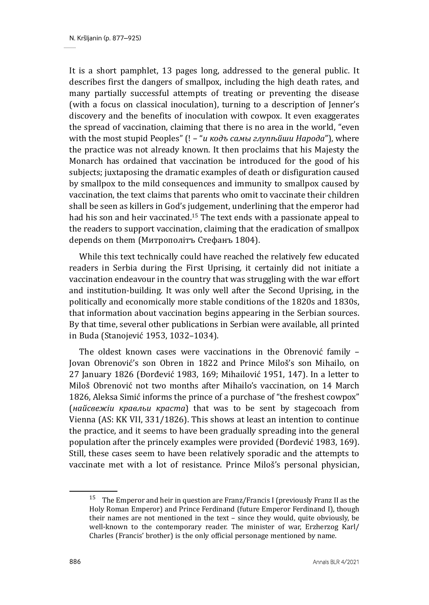It is a short pamphlet, 13 pages long, addressed to the general public. It describes first the dangers of smallpox, including the high death rates, and many partially successful attempts of treating or preventing the disease (with a focus on classical inoculation), turning to a description of Jenner's discovery and the benefits of inoculation with cowpox. It even exaggerates the spread of vaccination, claiming that there is no area in the world, "even with the most stupid Peoples" (! – "*и кодъ самы глупѣйши Народа*"), where the practice was not already known. It then proclaims that his Majesty the Monarch has ordained that vaccination be introduced for the good of his subjects; juxtaposing the dramatic examples of death or disfiguration caused by smallpox to the mild consequences and immunity to smallpox caused by vaccination, the text claims that parents who omit to vaccinate their children shall be seen as killers in God's judgement, underlining that the emperor had had his son and heir vaccinated.<sup>15</sup> The text ends with a passionate appeal to the readers to support vaccination, claiming that the eradication of smallpox depends on them (Митрополiтъ Стефанъ 1804).

While this text technically could have reached the relatively few educated readers in Serbia during the First Uprising, it certainly did not initiate a vaccination endeavour in the country that was struggling with the war effort and institution-building. It was only well after the Second Uprising, in the politically and economically more stable conditions of the 1820s and 1830s, that information about vaccination begins appearing in the Serbian sources. By that time, several other publications in Serbian were available, all printed in Buda (Stanojević 1953, 1032–1034).

The oldest known cases were vaccinations in the Obrenović family – Jovan Obrenović's son Obren in 1822 and Prince Miloš's son Mihailo, on 27 January 1826 (Đorđević 1983, 169; Mihailović 1951, 147). In a letter to Miloš Obrenović not two months after Mihailo's vaccination, on 14 March 1826, Aleksa Simić informs the prince of a purchase of "the freshest cowpox" (*найсвежiи кравльи краста*) that was to be sent by stagecoach from Vienna (AS: KK VII, 331/1826). This shows at least an intention to continue the practice, and it seems to have been gradually spreading into the general population after the princely examples were provided (Đorđević 1983, 169). Still, these cases seem to have been relatively sporadic and the attempts to vaccinate met with a lot of resistance. Prince Miloš's personal physician,

<sup>&</sup>lt;sup>15</sup> The Emperor and heir in question are Franz/Francis I (previously Franz II as the Holy Roman Emperor) and Prince Ferdinand (future Emperor Ferdinand I), though their names are not mentioned in the text – since they would, quite obviously, be well-known to the contemporary reader. The minister of war, Erzherzog Karl/ Charles (Francis' brother) is the only official personage mentioned by name.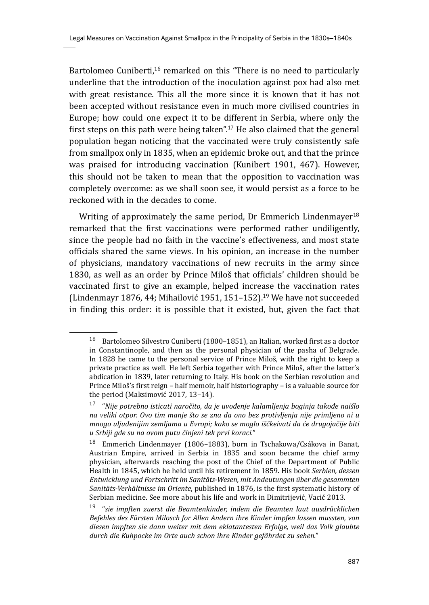Bartolomeo Cuniberti,<sup>16</sup> remarked on this "There is no need to particularly underline that the introduction of the inoculation against pox had also met with great resistance. This all the more since it is known that it has not been accepted without resistance even in much more civilised countries in Europe; how could one expect it to be different in Serbia, where only the first steps on this path were being taken".17 He also claimed that the general population began noticing that the vaccinated were truly consistently safe from smallpox only in 1835, when an epidemic broke out, and that the prince was praised for introducing vaccination (Kunibert 1901, 467). However, this should not be taken to mean that the opposition to vaccination was completely overcome: as we shall soon see, it would persist as a force to be reckoned with in the decades to come.

Writing of approximately the same period, Dr Emmerich Lindenmayer<sup>18</sup> remarked that the first vaccinations were performed rather undiligently, since the people had no faith in the vaccine's effectiveness, and most state officials shared the same views. In his opinion, an increase in the number of physicians, mandatory vaccinations of new recruits in the army since 1830, as well as an order by Prince Miloš that officials' children should be vaccinated first to give an example, helped increase the vaccination rates (Lindenmayr 1876, 44; Mihailović 1951, 151–152).<sup>19</sup> We have not succeeded in finding this order: it is possible that it existed, but, given the fact that

<sup>16</sup> Bartolomeo Silvestro Cuniberti (1800–1851), an Italian, worked first as a doctor in Constantinople, and then as the personal physician of the pasha of Belgrade. In 1828 he came to the personal service of Prince Miloš, with the right to keep a private practice as well. He left Serbia together with Prince Miloš, after the latter's abdication in 1839, later returning to Italy. His book on the Serbian revolution and Prince Miloš's first reign – half memoir, half historiography – is a valuable source for the period (Maksimović 2017, 13–14).

<sup>17 &</sup>quot;*Nije potrebno isticati naročito, da je uvođenje kalamljenja boginja takođe naišlo na veliki otpor. Ovo tim manje što se zna da ono bez protivljenja nije primljeno ni u mnogo uljuđenijim zemljama u Evropi; kako se moglo iščkeivati da će drugojačije biti u Srbiji gde su na ovom putu činjeni tek prvi koraci.*"

<sup>18</sup> Emmerich Lindenmayer (1806–1883), born in Tschakowa/Csákova in Banat, Austrian Empire, arrived in Serbia in 1835 and soon became the chief army physician, afterwards reaching the post of the Chief of the Department of Public Health in 1845, which he held until his retirement in 1859. His book *Serbien, dessen Entwicklung und Fortschritt im Sanitäts-Wesen, mit Andeutungen über die gesammten Sanitäts-Verhältnisse im Oriente*, published in 1876, is the first systematic history of Serbian medicine. See more about his life and work in Dimitrijević, Vacić 2013.

<sup>19 &</sup>quot;*sie impften zuerst die Beamtenkinder, indem die Beamten laut ausdrücklichen Befehles des Fürsten Milosch for Allen Andern ihre Kinder impfen lassen mussten, von diesen impften sie dann weiter mit dem eklatantesten Erfolge, weil das Volk glaubte durch die Kuhpocke im Orte auch schon ihre Kinder gefährdet zu sehen.*"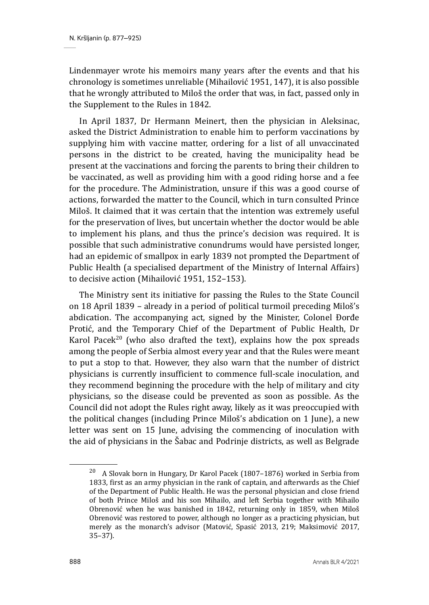Lindenmayer wrote his memoirs many years after the events and that his chronology is sometimes unreliable (Mihailović 1951, 147), it is also possible that he wrongly attributed to Miloš the order that was, in fact, passed only in the Supplement to the Rules in 1842.

In April 1837, Dr Hermann Meinert, then the physician in Aleksinac, asked the District Administration to enable him to perform vaccinations by supplying him with vaccine matter, ordering for a list of all unvaccinated persons in the district to be created, having the municipality head be present at the vaccinations and forcing the parents to bring their children to be vaccinated, as well as providing him with a good riding horse and a fee for the procedure. The Administration, unsure if this was a good course of actions, forwarded the matter to the Council, which in turn consulted Prince Miloš. It claimed that it was certain that the intention was extremely useful for the preservation of lives, but uncertain whether the doctor would be able to implement his plans, and thus the prince's decision was required. It is possible that such administrative conundrums would have persisted longer, had an epidemic of smallpox in early 1839 not prompted the Department of Public Health (a specialised department of the Ministry of Internal Affairs) to decisive action (Mihailović 1951, 152–153).

The Ministry sent its initiative for passing the Rules to the State Council on 18 April 1839 – already in a period of political turmoil preceding Miloš's abdication. The accompanying act, signed by the Minister, Colonel Đorđe Protić, and the Temporary Chief of the Department of Public Health, Dr Karol Pace $k^{20}$  (who also drafted the text), explains how the pox spreads among the people of Serbia almost every year and that the Rules were meant to put a stop to that. However, they also warn that the number of district physicians is currently insufficient to commence full-scale inoculation, and they recommend beginning the procedure with the help of military and city physicians, so the disease could be prevented as soon as possible. As the Council did not adopt the Rules right away, likely as it was preoccupied with the political changes (including Prince Miloš's abdication on 1 June), a new letter was sent on 15 June, advising the commencing of inoculation with the aid of physicians in the Šabac and Podrinje districts, as well as Belgrade

 $20$  A Slovak born in Hungary, Dr Karol Pacek (1807–1876) worked in Serbia from 1833, first as an army physician in the rank of captain, and afterwards as the Chief of the Department of Public Health. He was the personal physician and close friend of both Prince Miloš and his son Mihailo, and left Serbia together with Mihailo Obrenović when he was banished in 1842, returning only in 1859, when Miloš Obrenović was restored to power, although no longer as a practicing physician, but merely as the monarch's advisor (Matović, Spasić 2013, 219; Maksimović 2017, 35–37).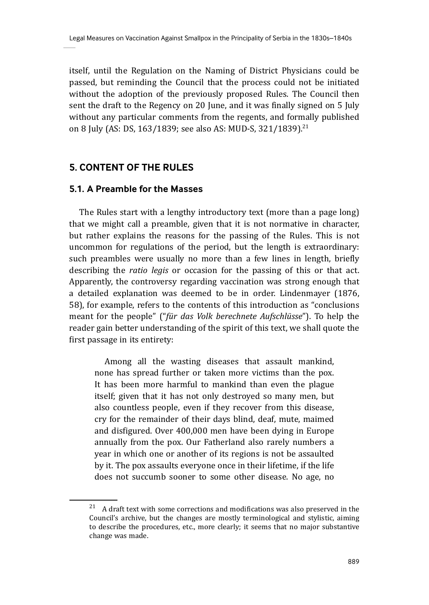itself, until the Regulation on the Naming of District Physicians could be passed, but reminding the Council that the process could not be initiated without the adoption of the previously proposed Rules. The Council then sent the draft to the Regency on 20 June, and it was finally signed on 5 July without any particular comments from the regents, and formally published on 8 July (AS: DS, 163/1839; see also AS: MUD-S, 321/1839).<sup>21</sup>

# **5. CONTENT OF THE RULES**

### **5.1. A Preamble for the Masses**

The Rules start with a lengthy introductory text (more than a page long) that we might call a preamble, given that it is not normative in character, but rather explains the reasons for the passing of the Rules. This is not uncommon for regulations of the period, but the length is extraordinary: such preambles were usually no more than a few lines in length, briefly describing the *ratio legis* or occasion for the passing of this or that act. Apparently, the controversy regarding vaccination was strong enough that a detailed explanation was deemed to be in order. Lindenmayer (1876, 58), for example, refers to the contents of this introduction as "conclusions meant for the people" ("*für das Volk berechnete Aufschlüsse*"). To help the reader gain better understanding of the spirit of this text, we shall quote the first passage in its entirety:

Among all the wasting diseases that assault mankind, none has spread further or taken more victims than the pox. It has been more harmful to mankind than even the plague itself; given that it has not only destroyed so many men, but also countless people, even if they recover from this disease, cry for the remainder of their days blind, deaf, mute, maimed and disfigured. Over 400,000 men have been dying in Europe annually from the pox. Our Fatherland also rarely numbers a year in which one or another of its regions is not be assaulted by it. The pox assaults everyone once in their lifetime, if the life does not succumb sooner to some other disease. No age, no

 $21$  A draft text with some corrections and modifications was also preserved in the Council's archive, but the changes are mostly terminological and stylistic, aiming to describe the procedures, etc., more clearly; it seems that no major substantive change was made.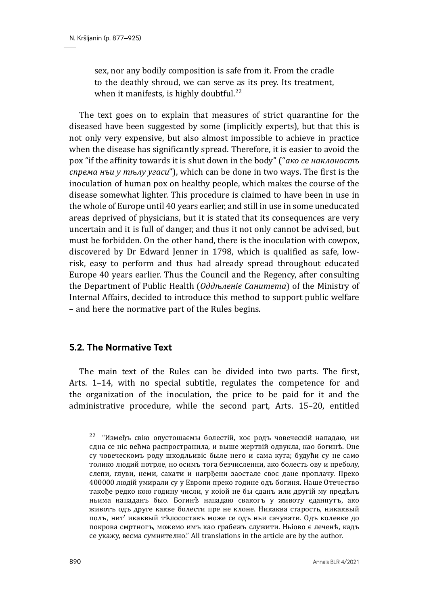sex, nor any bodily composition is safe from it. From the cradle to the deathly shroud, we can serve as its prey. Its treatment, when it manifests, is highly doubtful.<sup>22</sup>

The text goes on to explain that measures of strict quarantine for the diseased have been suggested by some (implicitly experts), but that this is not only very expensive, but also almost impossible to achieve in practice when the disease has significantly spread. Therefore, it is easier to avoid the pox "if the affinity towards it is shut down in the body" ("*ако се наклоностъ спрема нъи у тѣлу угаси*"), which can be done in two ways. The first is the inoculation of human pox on healthy people, which makes the course of the disease somewhat lighter. This procedure is claimed to have been in use in the whole of Europe until 40 years earlier, and still in use in some uneducated areas deprived of physicians, but it is stated that its consequences are very uncertain and it is full of danger, and thus it not only cannot be advised, but must be forbidden. On the other hand, there is the inoculation with cowpox, discovered by Dr Edward Jenner in 1798, which is qualified as safe, lowrisk, easy to perform and thus had already spread throughout educated Europe 40 years earlier. Thus the Council and the Regency, after consulting the Department of Public Health (*Оддъленіє Санитета*) of the Ministry of Internal Affairs, decided to introduce this method to support public welfare – and here the normative part of the Rules begins.

# **5.2. The Normative Text**

The main text of the Rules can be divided into two parts. The first, Arts. 1–14, with no special subtitle, regulates the competence for and the organization of the inoculation, the price to be paid for it and the administrative procedure, while the second part, Arts. 15–20, entitled

 $22$  "Измеђъ свію опустошаємы болестій, коє родъ човеческій нападаю, ни єдна се нiє већма распространила, и выше жертвiй одвукла, као богинѣ. Оне су човеческомъ роду шкодльивiє быле него и сама куга; будући су не само толико людий потрле, но осимъ тога безчисленни, ако болесть ову и преболу, слепи, глуви, неми, сакати и нагрђени заостале своє дане проплачу. Преко 400000 людiй умирали су у Европи преко године одъ богиня. Наше Отечество такође редко кою годину числи, у коiой не бы єданъ или другiй му предѣлъ ньима нападанъ быо. Богинѣ нападаю свакогъ у животу єданпутъ, ако животъ одъ друге какве болести пре не клоне. Никаква старость, никаквый полъ, нит' икаквый тѣлосоставъ може се одъ ньи сачувати. Одъ колевке до покрова смртногъ, можемо имъ као грабежъ служити. Ньiово є леченѣ, кадъ се укажу, весма сумнително." All translations in the article are by the author.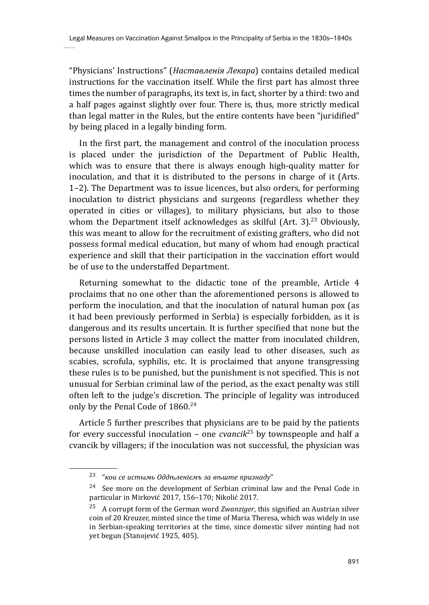"Physicians' Instructions" (*Наставленiя Лекара*) contains detailed medical instructions for the vaccination itself. While the first part has almost three times the number of paragraphs, its text is, in fact, shorter by a third: two and a half pages against slightly over four. There is, thus, more strictly medical than legal matter in the Rules, but the entire contents have been "juridified" by being placed in a legally binding form.

In the first part, the management and control of the inoculation process is placed under the jurisdiction of the Department of Public Health, which was to ensure that there is always enough high-quality matter for inoculation, and that it is distributed to the persons in charge of it (Arts. 1–2). The Department was to issue licences, but also orders, for performing inoculation to district physicians and surgeons (regardless whether they operated in cities or villages), to military physicians, but also to those whom the Department itself acknowledges as skilful  $(Art. 3)$ <sup>23</sup> Obviously, this was meant to allow for the recruitment of existing grafters, who did not possess formal medical education, but many of whom had enough practical experience and skill that their participation in the vaccination effort would be of use to the understaffed Department.

Returning somewhat to the didactic tone of the preamble, Article 4 proclaims that no one other than the aforementioned persons is allowed to perform the inoculation, and that the inoculation of natural human pox (as it had been previously performed in Serbia) is especially forbidden, as it is dangerous and its results uncertain. It is further specified that none but the persons listed in Article 3 may collect the matter from inoculated children, because unskilled inoculation can easily lead to other diseases, such as scabies, scrofula, syphilis, etc. It is proclaimed that anyone transgressing these rules is to be punished, but the punishment is not specified. This is not unusual for Serbian criminal law of the period, as the exact penalty was still often left to the judge's discretion. The principle of legality was introduced only by the Penal Code of 1860.<sup>24</sup>

Article 5 further prescribes that physicians are to be paid by the patients for every successful inoculation – one *cvancik*25 by townspeople and half a cvancik by villagers; if the inoculation was not successful, the physician was

<sup>23 &</sup>quot;*кои се истымь Оддѣленiємъ за вѣште признаду*"

 $24$  See more on the development of Serbian criminal law and the Penal Code in particular in Mirković 2017, 156–170; Nikolić 2017.

<sup>25</sup> A corrupt form of the German word *Zwanziger*, this signified an Austrian silver coin of 20 Kreuzer, minted since the time of Maria Theresa, which was widely in use in Serbian-speaking territories at the time, since domestic silver minting had not yet begun (Stanojević 1925, 405).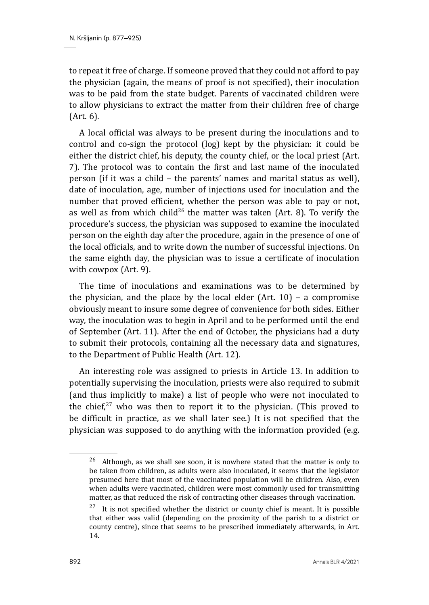to repeat it free of charge. If someone proved that they could not afford to pay the physician (again, the means of proof is not specified), their inoculation was to be paid from the state budget. Parents of vaccinated children were to allow physicians to extract the matter from their children free of charge (Art. 6).

A local official was always to be present during the inoculations and to control and co-sign the protocol (log) kept by the physician: it could be either the district chief, his deputy, the county chief, or the local priest (Art. 7). The protocol was to contain the first and last name of the inoculated person (if it was a child – the parents' names and marital status as well), date of inoculation, age, number of injections used for inoculation and the number that proved efficient, whether the person was able to pay or not, as well as from which child<sup>26</sup> the matter was taken (Art. 8). To verify the procedure's success, the physician was supposed to examine the inoculated person on the eighth day after the procedure, again in the presence of one of the local officials, and to write down the number of successful injections. On the same eighth day, the physician was to issue a certificate of inoculation with cowpox (Art. 9).

The time of inoculations and examinations was to be determined by the physician, and the place by the local elder  $(Art. 10)$  – a compromise obviously meant to insure some degree of convenience for both sides. Either way, the inoculation was to begin in April and to be performed until the end of September (Art. 11). After the end of October, the physicians had a duty to submit their protocols, containing all the necessary data and signatures, to the Department of Public Health (Art. 12).

An interesting role was assigned to priests in Article 13. In addition to potentially supervising the inoculation, priests were also required to submit (and thus implicitly to make) a list of people who were not inoculated to the chief, $27$  who was then to report it to the physician. (This proved to be difficult in practice, as we shall later see.) It is not specified that the physician was supposed to do anything with the information provided (e.g.

 $26$  Although, as we shall see soon, it is nowhere stated that the matter is only to be taken from children, as adults were also inoculated, it seems that the legislator presumed here that most of the vaccinated population will be children. Also, even when adults were vaccinated, children were most commonly used for transmitting matter, as that reduced the risk of contracting other diseases through vaccination.

 $27$  It is not specified whether the district or county chief is meant. It is possible that either was valid (depending on the proximity of the parish to a district or county centre), since that seems to be prescribed immediately afterwards, in Art. 14.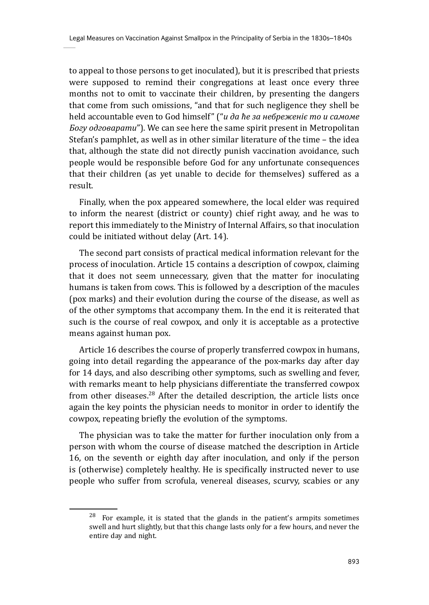to appeal to those persons to get inoculated), but it is prescribed that priests were supposed to remind their congregations at least once every three months not to omit to vaccinate their children, by presenting the dangers that come from such omissions, "and that for such negligence they shell be held accountable even to God himself" ("*и да ће за небреженiє то и самоме Богу одговарати*"). We can see here the same spirit present in Metropolitan Stefan's pamphlet, as well as in other similar literature of the time – the idea that, although the state did not directly punish vaccination avoidance, such people would be responsible before God for any unfortunate consequences that their children (as yet unable to decide for themselves) suffered as a result.

Finally, when the pox appeared somewhere, the local elder was required to inform the nearest (district or county) chief right away, and he was to report this immediately to the Ministry of Internal Affairs, so that inoculation could be initiated without delay (Art. 14).

The second part consists of practical medical information relevant for the process of inoculation. Article 15 contains a description of cowpox, claiming that it does not seem unnecessary, given that the matter for inoculating humans is taken from cows. This is followed by a description of the macules (pox marks) and their evolution during the course of the disease, as well as of the other symptoms that accompany them. In the end it is reiterated that such is the course of real cowpox, and only it is acceptable as a protective means against human pox.

Article 16 describes the course of properly transferred cowpox in humans, going into detail regarding the appearance of the pox-marks day after day for 14 days, and also describing other symptoms, such as swelling and fever, with remarks meant to help physicians differentiate the transferred cowpox from other diseases.<sup>28</sup> After the detailed description, the article lists once again the key points the physician needs to monitor in order to identify the cowpox, repeating briefly the evolution of the symptoms.

The physician was to take the matter for further inoculation only from a person with whom the course of disease matched the description in Article 16, on the seventh or eighth day after inoculation, and only if the person is (otherwise) completely healthy. He is specifically instructed never to use people who suffer from scrofula, venereal diseases, scurvy, scabies or any

 $28$  For example, it is stated that the glands in the patient's armpits sometimes swell and hurt slightly, but that this change lasts only for a few hours, and never the entire day and night.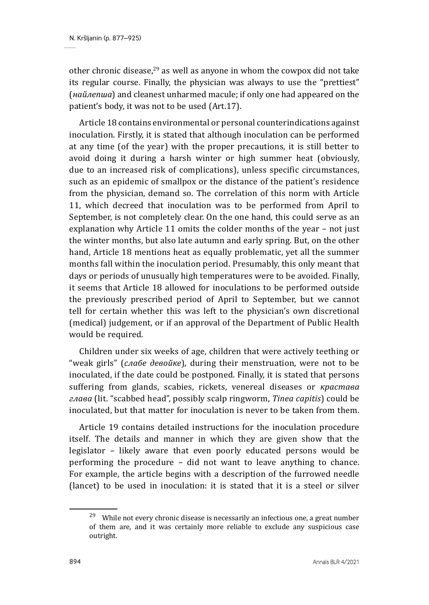other chronic disease.<sup>29</sup> as well as anyone in whom the cowpox did not take its regular course. Finally, the physician was always to use the "prettiest" (*найлепша*) and cleanest unharmed macule; if only one had appeared on the patient's body, it was not to be used (Art.17).

Article 18 contains environmental or personal counterindications against inoculation. Firstly, it is stated that although inoculation can be performed at any time (of the year) with the proper precautions, it is still better to avoid doing it during a harsh winter or high summer heat (obviously, due to an increased risk of complications), unless specific circumstances, such as an epidemic of smallpox or the distance of the patient's residence from the physician, demand so. The correlation of this norm with Article 11, which decreed that inoculation was to be performed from April to September, is not completely clear. On the one hand, this could serve as an explanation why Article 11 omits the colder months of the year – not just the winter months, but also late autumn and early spring. But, on the other hand, Article 18 mentions heat as equally problematic, yet all the summer months fall within the inoculation period. Presumably, this only meant that days or periods of unusually high temperatures were to be avoided. Finally, it seems that Article 18 allowed for inoculations to be performed outside the previously prescribed period of April to September, but we cannot tell for certain whether this was left to the physician's own discretional (medical) judgement, or if an approval of the Department of Public Health would be required.

Children under six weeks of age, children that were actively teething or "weak girls" (*слабе девойке*), during their menstruation, were not to be inoculated, if the date could be postponed. Finally, it is stated that persons suffering from glands, scabies, rickets, venereal diseases or *крастава глава* (lit. "scabbed head", possibly scalp ringworm, *Tinea capitis*) could be inoculated, but that matter for inoculation is never to be taken from them.

Article 19 contains detailed instructions for the inoculation procedure itself. The details and manner in which they are given show that the legislator – likely aware that even poorly educated persons would be performing the procedure – did not want to leave anything to chance. For example, the article begins with a description of the furrowed needle (lancet) to be used in inoculation: it is stated that it is a steel or silver

 $29$  While not every chronic disease is necessarily an infectious one, a great number of them are, and it was certainly more reliable to exclude any suspicious case outright.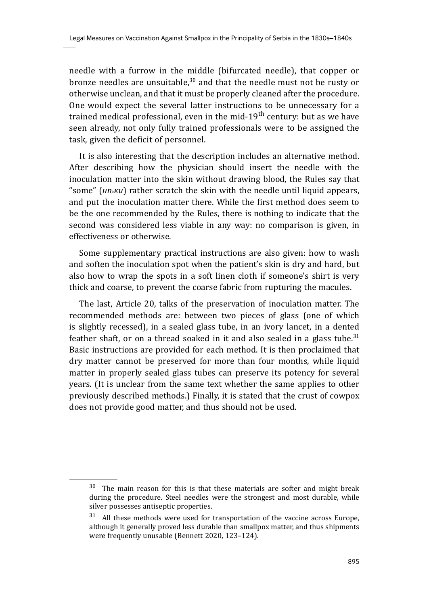needle with a furrow in the middle (bifurcated needle), that copper or bronze needles are unsuitable, $30$  and that the needle must not be rusty or otherwise unclean, and that it must be properly cleaned after the procedure. One would expect the several latter instructions to be unnecessary for a trained medical professional, even in the mid-19<sup>th</sup> century: but as we have seen already, not only fully trained professionals were to be assigned the task, given the deficit of personnel.

It is also interesting that the description includes an alternative method. After describing how the physician should insert the needle with the inoculation matter into the skin without drawing blood, the Rules say that "some" (*нѣки*) rather scratch the skin with the needle until liquid appears, and put the inoculation matter there. While the first method does seem to be the one recommended by the Rules, there is nothing to indicate that the second was considered less viable in any way: no comparison is given, in effectiveness or otherwise.

Some supplementary practical instructions are also given: how to wash and soften the inoculation spot when the patient's skin is dry and hard, but also how to wrap the spots in a soft linen cloth if someone's shirt is very thick and coarse, to prevent the coarse fabric from rupturing the macules.

The last, Article 20, talks of the preservation of inoculation matter. The recommended methods are: between two pieces of glass (one of which is slightly recessed), in a sealed glass tube, in an ivory lancet, in a dented feather shaft, or on a thread soaked in it and also sealed in a glass tube.<sup>31</sup> Basic instructions are provided for each method. It is then proclaimed that dry matter cannot be preserved for more than four months, while liquid matter in properly sealed glass tubes can preserve its potency for several years. (It is unclear from the same text whether the same applies to other previously described methods.) Finally, it is stated that the crust of cowpox does not provide good matter, and thus should not be used.

 $30$  The main reason for this is that these materials are softer and might break during the procedure. Steel needles were the strongest and most durable, while silver possesses antiseptic properties.

 $31$  All these methods were used for transportation of the vaccine across Europe, although it generally proved less durable than smallpox matter, and thus shipments were frequently unusable (Bennett 2020, 123–124).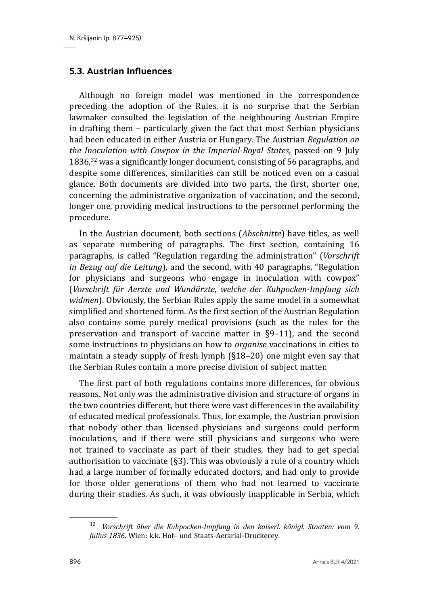### **5.3. Austrian Influences**

Although no foreign model was mentioned in the correspondence preceding the adoption of the Rules, it is no surprise that the Serbian lawmaker consulted the legislation of the neighbouring Austrian Empire in drafting them – particularly given the fact that most Serbian physicians had been educated in either Austria or Hungary. The Austrian *Regulation on the Inoculation with Cowpox in the Imperial-Royal States*, passed on 9 July 1836, $32$  was a significantly longer document, consisting of 56 paragraphs, and despite some differences, similarities can still be noticed even on a casual glance. Both documents are divided into two parts, the first, shorter one, concerning the administrative organization of vaccination, and the second, longer one, providing medical instructions to the personnel performing the procedure.

In the Austrian document, both sections (*Abschnitte*) have titles, as well as separate numbering of paragraphs. The first section, containing 16 paragraphs, is called "Regulation regarding the administration" (*Vorschrift in Bezug auf die Leitung*), and the second, with 40 paragraphs, "Regulation for physicians and surgeons who engage in inoculation with cowpox" (*Vorschrift für Aerzte und Wundärzte, welche der Kuhpocken-Impfung sich widmen*). Obviously, the Serbian Rules apply the same model in a somewhat simplified and shortened form. As the first section of the Austrian Regulation also contains some purely medical provisions (such as the rules for the preservation and transport of vaccine matter in §9–11), and the second some instructions to physicians on how to *organise* vaccinations in cities to maintain a steady supply of fresh lymph (§18–20) one might even say that the Serbian Rules contain a more precise division of subject matter.

The first part of both regulations contains more differences, for obvious reasons. Not only was the administrative division and structure of organs in the two countries different, but there were vast differences in the availability of educated medical professionals. Thus, for example, the Austrian provision that nobody other than licensed physicians and surgeons could perform inoculations, and if there were still physicians and surgeons who were not trained to vaccinate as part of their studies, they had to get special authorisation to vaccinate (§3). This was obviously a rule of a country which had a large number of formally educated doctors, and had only to provide for those older generations of them who had not learned to vaccinate during their studies. As such, it was obviously inapplicable in Serbia, which

<sup>32</sup> *Vorschrift über die Kuhpocken-Impfung in den kaiserl. königl. Staaten: vom 9. Julius 1836*. Wien: k.k. Hof– und Staats-Aerarial-Druckerey.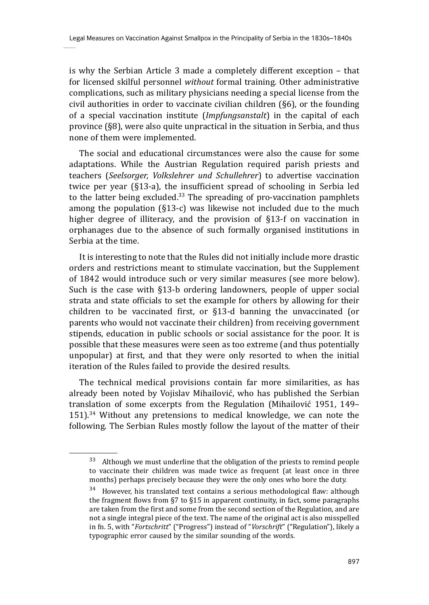is why the Serbian Article 3 made a completely different exception – that for licensed skilful personnel *without* formal training. Other administrative complications, such as military physicians needing a special license from the civil authorities in order to vaccinate civilian children (§6), or the founding of a special vaccination institute (*Impfungsanstalt*) in the capital of each province (§8), were also quite unpractical in the situation in Serbia, and thus none of them were implemented.

The social and educational circumstances were also the cause for some adaptations. While the Austrian Regulation required parish priests and teachers (*Seelsorger, Volkslehrer und Schullehrer*) to advertise vaccination twice per year (§13-a), the insufficient spread of schooling in Serbia led to the latter being excluded.<sup>33</sup> The spreading of pro-vaccination pamphlets among the population (§13-c) was likewise not included due to the much higher degree of illiteracy, and the provision of §13-f on vaccination in orphanages due to the absence of such formally organised institutions in Serbia at the time.

It is interesting to note that the Rules did not initially include more drastic orders and restrictions meant to stimulate vaccination, but the Supplement of 1842 would introduce such or very similar measures (see more below). Such is the case with §13-b ordering landowners, people of upper social strata and state officials to set the example for others by allowing for their children to be vaccinated first, or §13-d banning the unvaccinated (or parents who would not vaccinate their children) from receiving government stipends, education in public schools or social assistance for the poor. It is possible that these measures were seen as too extreme (and thus potentially unpopular) at first, and that they were only resorted to when the initial iteration of the Rules failed to provide the desired results.

The technical medical provisions contain far more similarities, as has already been noted by Vojislav Mihailović, who has published the Serbian translation of some excerpts from the Regulation (Mihailović 1951, 149–  $151$ ).<sup>34</sup> Without any pretensions to medical knowledge, we can note the following. The Serbian Rules mostly follow the layout of the matter of their

<sup>&</sup>lt;sup>33</sup> Although we must underline that the obligation of the priests to remind people to vaccinate their children was made twice as frequent (at least once in three months) perhaps precisely because they were the only ones who bore the duty.

 $34$  However, his translated text contains a serious methodological flaw: although the fragment flows from §7 to §15 in apparent continuity, in fact, some paragraphs are taken from the first and some from the second section of the Regulation, and are not a single integral piece of the text. The name of the original act is also misspelled in fn. 5, with "*Fortschritt*" ("Progress") instead of "*Vorschrift*" ("Regulation"), likely a typographic error caused by the similar sounding of the words.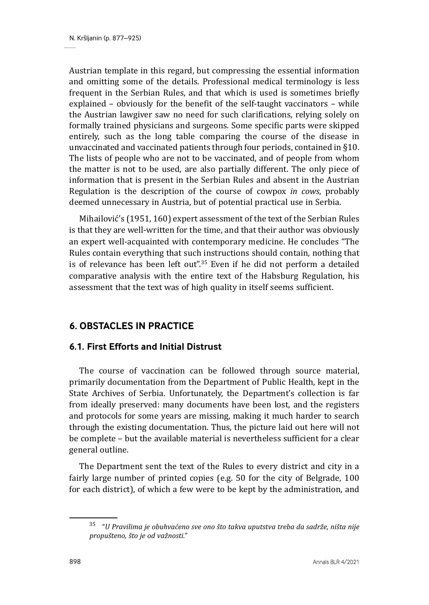Austrian template in this regard, but compressing the essential information and omitting some of the details. Professional medical terminology is less frequent in the Serbian Rules, and that which is used is sometimes briefly explained – obviously for the benefit of the self-taught vaccinators – while the Austrian lawgiver saw no need for such clarifications, relying solely on formally trained physicians and surgeons. Some specific parts were skipped entirely, such as the long table comparing the course of the disease in unvaccinated and vaccinated patients through four periods, contained in §10. The lists of people who are not to be vaccinated, and of people from whom the matter is not to be used, are also partially different. The only piece of information that is present in the Serbian Rules and absent in the Austrian Regulation is the description of the course of cowpox *in cows*, probably deemed unnecessary in Austria, but of potential practical use in Serbia.

Mihailović's (1951, 160) expert assessment of the text of the Serbian Rules is that they are well-written for the time, and that their author was obviously an expert well-acquainted with contemporary medicine. He concludes "The Rules contain everything that such instructions should contain, nothing that is of relevance has been left out".<sup>35</sup> Even if he did not perform a detailed comparative analysis with the entire text of the Habsburg Regulation, his assessment that the text was of high quality in itself seems sufficient.

# **6. OBSTACLES IN PRACTICE**

# **6.1. First Efforts and Initial Distrust**

The course of vaccination can be followed through source material, primarily documentation from the Department of Public Health, kept in the State Archives of Serbia. Unfortunately, the Department's collection is far from ideally preserved: many documents have been lost, and the registers and protocols for some years are missing, making it much harder to search through the existing documentation. Thus, the picture laid out here will not be complete – but the available material is nevertheless sufficient for a clear general outline.

The Department sent the text of the Rules to every district and city in a fairly large number of printed copies (e.g. 50 for the city of Belgrade, 100 for each district), of which a few were to be kept by the administration, and

<sup>35 &</sup>quot;*U Pravilima je obuhvaćeno sve ono što takva uputstva treba da sadrže, ništa nije propušteno, što je od važnosti.*"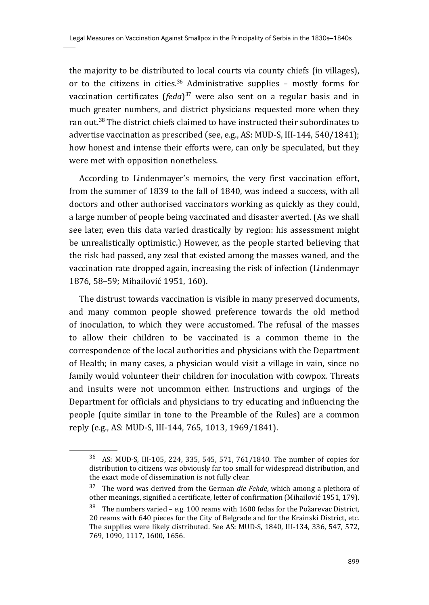the majority to be distributed to local courts via county chiefs (in villages), or to the citizens in cities.<sup>36</sup> Administrative supplies – mostly forms for vaccination certificates (*feda*)<sup>37</sup> were also sent on a regular basis and in much greater numbers, and district physicians requested more when they ran out.38 The district chiefs claimed to have instructed their subordinates to advertise vaccination as prescribed (see, e.g., AS: MUD-S, III-144, 540/1841); how honest and intense their efforts were, can only be speculated, but they were met with opposition nonetheless.

According to Lindenmayer's memoirs, the very first vaccination effort, from the summer of 1839 to the fall of 1840, was indeed a success, with all doctors and other authorised vaccinators working as quickly as they could, a large number of people being vaccinated and disaster averted. (As we shall see later, even this data varied drastically by region: his assessment might be unrealistically optimistic.) However, as the people started believing that the risk had passed, any zeal that existed among the masses waned, and the vaccination rate dropped again, increasing the risk of infection (Lindenmayr 1876, 58–59; Mihailović 1951, 160).

The distrust towards vaccination is visible in many preserved documents, and many common people showed preference towards the old method of inoculation, to which they were accustomed. The refusal of the masses to allow their children to be vaccinated is a common theme in the correspondence of the local authorities and physicians with the Department of Health; in many cases, a physician would visit a village in vain, since no family would volunteer their children for inoculation with cowpox. Threats and insults were not uncommon either. Instructions and urgings of the Department for officials and physicians to try educating and influencing the people (quite similar in tone to the Preamble of the Rules) are a common reply (e.g., AS: MUD-S, III-144, 765, 1013, 1969/1841).

<sup>36</sup> AS: MUD-S, III-105, 224, 335, 545, 571, 761/1840. The number of copies for distribution to citizens was obviously far too small for widespread distribution, and the exact mode of dissemination is not fully clear.

<sup>37</sup> The word was derived from the German *die Fehde*, which among a plethora of other meanings, signified a certificate, letter of confirmation (Mihailović 1951, 179).

 $38$  The numbers varied – e.g. 100 reams with 1600 fedas for the Požarevac District, 20 reams with 640 pieces for the City of Belgrade and for the Krainski District, etc. The supplies were likely distributed. See AS: MUD-S, 1840, III-134, 336, 547, 572, 769, 1090, 1117, 1600, 1656.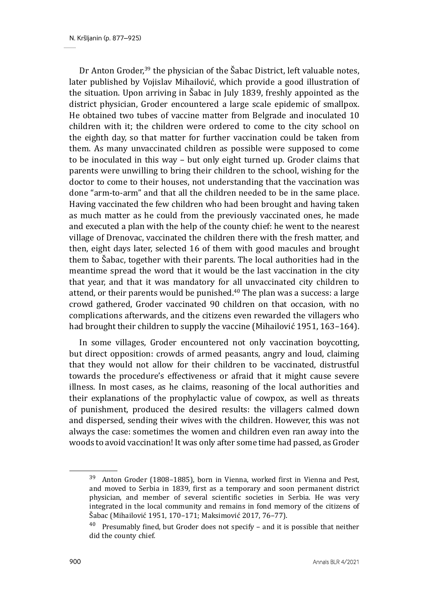Dr Anton Groder,<sup>39</sup> the physician of the Šabac District, left valuable notes, later published by Vojislav Mihailović, which provide a good illustration of the situation. Upon arriving in Šabac in July 1839, freshly appointed as the district physician, Groder encountered a large scale epidemic of smallpox. He obtained two tubes of vaccine matter from Belgrade and inoculated 10 children with it; the children were ordered to come to the city school on the eighth day, so that matter for further vaccination could be taken from them. As many unvaccinated children as possible were supposed to come to be inoculated in this way – but only eight turned up. Groder claims that parents were unwilling to bring their children to the school, wishing for the doctor to come to their houses, not understanding that the vaccination was done "arm-to-arm" and that all the children needed to be in the same place. Having vaccinated the few children who had been brought and having taken as much matter as he could from the previously vaccinated ones, he made and executed a plan with the help of the county chief: he went to the nearest village of Drenovac, vaccinated the children there with the fresh matter, and then, eight days later, selected 16 of them with good macules and brought them to Šabac, together with their parents. The local authorities had in the meantime spread the word that it would be the last vaccination in the city that year, and that it was mandatory for all unvaccinated city children to attend, or their parents would be punished.<sup>40</sup> The plan was a success: a large crowd gathered, Groder vaccinated 90 children on that occasion, with no complications afterwards, and the citizens even rewarded the villagers who had brought their children to supply the vaccine (Mihailović 1951, 163–164).

In some villages, Groder encountered not only vaccination boycotting, but direct opposition: crowds of armed peasants, angry and loud, claiming that they would not allow for their children to be vaccinated, distrustful towards the procedure's effectiveness or afraid that it might cause severe illness. In most cases, as he claims, reasoning of the local authorities and their explanations of the prophylactic value of cowpox, as well as threats of punishment, produced the desired results: the villagers calmed down and dispersed, sending their wives with the children. However, this was not always the case: sometimes the women and children even ran away into the woods to avoid vaccination! It was only after some time had passed, as Groder

<sup>&</sup>lt;sup>39</sup> Anton Groder (1808–1885), born in Vienna, worked first in Vienna and Pest, and moved to Serbia in 1839, first as a temporary and soon permanent district physician, and member of several scientific societies in Serbia. He was very integrated in the local community and remains in fond memory of the citizens of Šabac (Mihailović 1951, 170–171; Maksimović 2017, 76–77).

<sup>40</sup> Presumably fined, but Groder does not specify – and it is possible that neither did the county chief*.*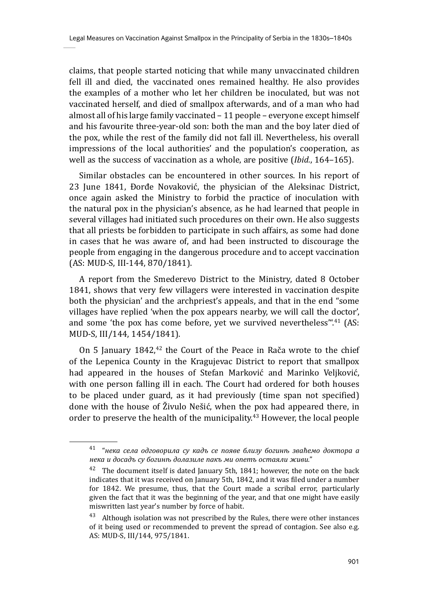claims, that people started noticing that while many unvaccinated children fell ill and died, the vaccinated ones remained healthy. He also provides the examples of a mother who let her children be inoculated, but was not vaccinated herself, and died of smallpox afterwards, and of a man who had almost all of his large family vaccinated – 11 people – everyone except himself and his favourite three-year-old son: both the man and the boy later died of the pox, while the rest of the family did not fall ill. Nevertheless, his overall impressions of the local authorities' and the population's cooperation, as well as the success of vaccination as a whole, are positive (*Ibid.*, 164–165).

Similar obstacles can be encountered in other sources. In his report of 23 June 1841, Đorđe Novaković, the physician of the Aleksinac District, once again asked the Ministry to forbid the practice of inoculation with the natural pox in the physician's absence, as he had learned that people in several villages had initiated such procedures on their own. He also suggests that all priests be forbidden to participate in such affairs, as some had done in cases that he was aware of, and had been instructed to discourage the people from engaging in the dangerous procedure and to accept vaccination (AS: MUD-S, III-144, 870/1841).

A report from the Smederevo District to the Ministry, dated 8 October 1841, shows that very few villagers were interested in vaccination despite both the physician' and the archpriest's appeals, and that in the end "some villages have replied 'when the pox appears nearby, we will call the doctor', and some 'the pox has come before, yet we survived nevertheless".<sup>41</sup> (AS: MUD-S, III/144, 1454/1841).

On 5 January  $1842$ ,<sup> $42$ </sup> the Court of the Peace in Rača wrote to the chief of the Lepenica County in the Kragujevac District to report that smallpox had appeared in the houses of Stefan Marković and Marinko Veljković, with one person falling ill in each. The Court had ordered for both houses to be placed under guard, as it had previously (time span not specified) done with the house of Živulo Nešić, when the pox had appeared there, in order to preserve the health of the municipality.43 However, the local people

<sup>41 &</sup>quot;*нека села одговорила су кадъ се появе близу богинѣ зваћемо доктора а нека и досадъ су богинѣ долазиле пакъ ми опетъ остаяли живи.*"

 $42$  The document itself is dated January 5th, 1841; however, the note on the back indicates that it was received on January 5th, 1842, and it was filed under a number for 1842. We presume, thus, that the Court made a scribal error, particularly given the fact that it was the beginning of the year, and that one might have easily miswritten last year's number by force of habit.

 $43$  Although isolation was not prescribed by the Rules, there were other instances of it being used or recommended to prevent the spread of contagion. See also e.g. AS: MUD-S, III/144, 975/1841.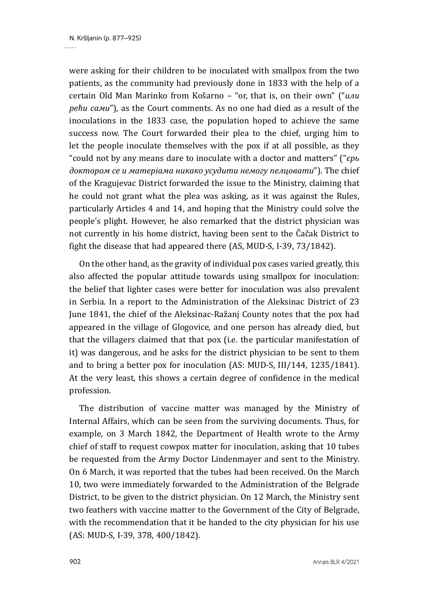were asking for their children to be inoculated with smallpox from the two patients, as the community had previously done in 1833 with the help of a certain Old Man Marinko from Košarno – "or, that is, on their own" ("*или рећи сами*"), as the Court comments. As no one had died as a result of the inoculations in the 1833 case, the population hoped to achieve the same success now. The Court forwarded their plea to the chief, urging him to let the people inoculate themselves with the pox if at all possible, as they "could not by any means dare to inoculate with a doctor and matters" ("*єрь доктором се и матерiама никако усудити немогу пелцовати*"). The chief of the Kragujevac District forwarded the issue to the Ministry, claiming that he could not grant what the plea was asking, as it was against the Rules, particularly Articles 4 and 14, and hoping that the Ministry could solve the people's plight. However, he also remarked that the district physician was not currently in his home district, having been sent to the Čačak District to fight the disease that had appeared there (AS, MUD-S, I-39, 73/1842).

On the other hand, as the gravity of individual pox cases varied greatly, this also affected the popular attitude towards using smallpox for inoculation: the belief that lighter cases were better for inoculation was also prevalent in Serbia. In a report to the Administration of the Aleksinac District of 23 June 1841, the chief of the Aleksinac-Ražanj County notes that the pox had appeared in the village of Glogovice, and one person has already died, but that the villagers claimed that that pox (i.e. the particular manifestation of it) was dangerous, and he asks for the district physician to be sent to them and to bring a better pox for inoculation (AS: MUD-S, III/144, 1235/1841). At the very least, this shows a certain degree of confidence in the medical profession.

The distribution of vaccine matter was managed by the Ministry of Internal Affairs, which can be seen from the surviving documents. Thus, for example, on 3 March 1842, the Department of Health wrote to the Army chief of staff to request cowpox matter for inoculation, asking that 10 tubes be requested from the Army Doctor Lindenmayer and sent to the Ministry. On 6 March, it was reported that the tubes had been received. On the March 10, two were immediately forwarded to the Administration of the Belgrade District, to be given to the district physician. On 12 March, the Ministry sent two feathers with vaccine matter to the Government of the City of Belgrade, with the recommendation that it be handed to the city physician for his use (AS: MUD-S, I-39, 378, 400/1842).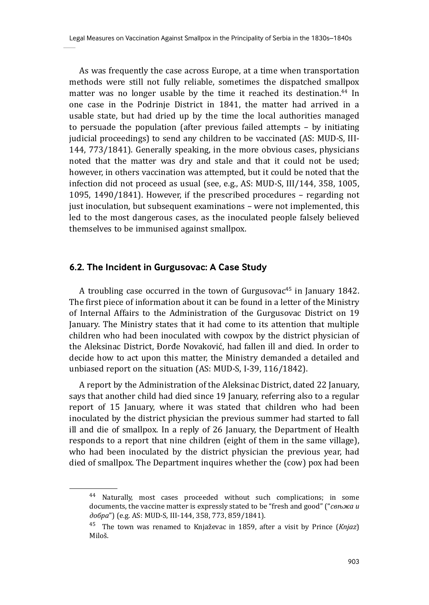As was frequently the case across Europe, at a time when transportation methods were still not fully reliable, sometimes the dispatched smallpox matter was no longer usable by the time it reached its destination.<sup>44</sup> In one case in the Podrinje District in 1841, the matter had arrived in a usable state, but had dried up by the time the local authorities managed to persuade the population (after previous failed attempts – by initiating judicial proceedings) to send any children to be vaccinated (AS: MUD-S, III-144, 773/1841). Generally speaking, in the more obvious cases, physicians noted that the matter was dry and stale and that it could not be used; however, in others vaccination was attempted, but it could be noted that the infection did not proceed as usual (see, e.g., AS: MUD-S, III/144, 358, 1005, 1095, 1490/1841). However, if the prescribed procedures – regarding not just inoculation, but subsequent examinations – were not implemented, this led to the most dangerous cases, as the inoculated people falsely believed themselves to be immunised against smallpox.

#### **6.2. The Incident in Gurgusovac: A Case Study**

A troubling case occurred in the town of Gurgusovac<sup>45</sup> in January 1842. The first piece of information about it can be found in a letter of the Ministry of Internal Affairs to the Administration of the Gurgusovac District on 19 January. The Ministry states that it had come to its attention that multiple children who had been inoculated with cowpox by the district physician of the Aleksinac District, Đorđe Novaković, had fallen ill and died. In order to decide how to act upon this matter, the Ministry demanded a detailed and unbiased report on the situation (AS: MUD-S, I-39, 116/1842).

A report by the Administration of the Aleksinac District, dated 22 January, says that another child had died since 19 January, referring also to a regular report of 15 January, where it was stated that children who had been inoculated by the district physician the previous summer had started to fall ill and die of smallpox. In a reply of 26 January, the Department of Health responds to a report that nine children (eight of them in the same village), who had been inoculated by the district physician the previous year, had died of smallpox. The Department inquires whether the (cow) pox had been

<sup>44</sup> Naturally, most cases proceeded without such complications; in some documents, the vaccine matter is expressly stated to be "fresh and good" ("*свѣжа и добра*") (e.g. AS: MUD-S, III-144, 358, 773, 859/1841).

<sup>45</sup> The town was renamed to Knjaževac in 1859, after a visit by Prince (*Knjaz*) Miloš.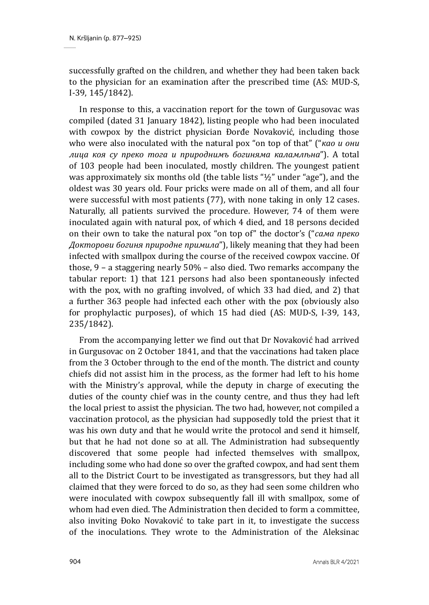successfully grafted on the children, and whether they had been taken back to the physician for an examination after the prescribed time (AS: MUD-S, I-39, 145/1842).

In response to this, a vaccination report for the town of Gurgusovac was compiled (dated 31 January 1842), listing people who had been inoculated with cowpox by the district physician Đorđe Novaković, including those who were also inoculated with the natural pox "on top of that" ("*као и они лица коя су преко тога и природнимъ богиняма каламлѣна*"). A total of 103 people had been inoculated, mostly children. The youngest patient was approximately six months old (the table lists " $\frac{1}{2}$ " under "age"), and the oldest was 30 years old. Four pricks were made on all of them, and all four were successful with most patients (77), with none taking in only 12 cases. Naturally, all patients survived the procedure. However, 74 of them were inoculated again with natural pox, of which 4 died, and 18 persons decided on their own to take the natural pox "on top of" the doctor's ("*сама преко Докторови богиня природне примила*"), likely meaning that they had been infected with smallpox during the course of the received cowpox vaccine. Of those, 9 – a staggering nearly 50% – also died. Two remarks accompany the tabular report: 1) that 121 persons had also been spontaneously infected with the pox, with no grafting involved, of which 33 had died, and 2) that a further 363 people had infected each other with the pox (obviously also for prophylactic purposes), of which 15 had died (AS: MUD-S, I-39, 143, 235/1842).

From the accompanying letter we find out that Dr Novaković had arrived in Gurgusovac on 2 October 1841, and that the vaccinations had taken place from the 3 October through to the end of the month. The district and county chiefs did not assist him in the process, as the former had left to his home with the Ministry's approval, while the deputy in charge of executing the duties of the county chief was in the county centre, and thus they had left the local priest to assist the physician. The two had, however, not compiled a vaccination protocol, as the physician had supposedly told the priest that it was his own duty and that he would write the protocol and send it himself, but that he had not done so at all. The Administration had subsequently discovered that some people had infected themselves with smallpox, including some who had done so over the grafted cowpox, and had sent them all to the District Court to be investigated as transgressors, but they had all claimed that they were forced to do so, as they had seen some children who were inoculated with cowpox subsequently fall ill with smallpox, some of whom had even died. The Administration then decided to form a committee, also inviting Đoko Novaković to take part in it, to investigate the success of the inoculations. They wrote to the Administration of the Aleksinac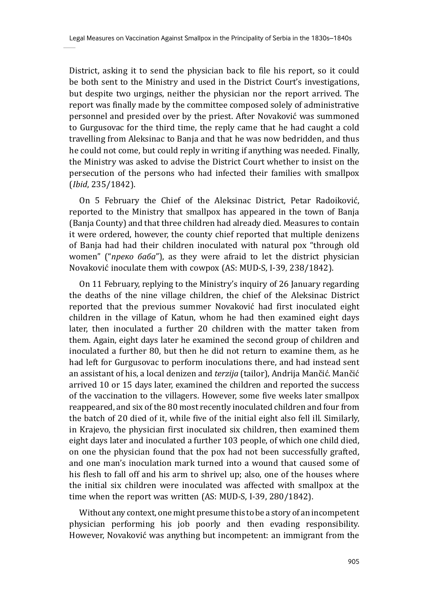District, asking it to send the physician back to file his report, so it could be both sent to the Ministry and used in the District Court's investigations, but despite two urgings, neither the physician nor the report arrived. The report was finally made by the committee composed solely of administrative personnel and presided over by the priest. After Novaković was summoned to Gurgusovac for the third time, the reply came that he had caught a cold travelling from Aleksinac to Banja and that he was now bedridden, and thus he could not come, but could reply in writing if anything was needed. Finally, the Ministry was asked to advise the District Court whether to insist on the persecution of the persons who had infected their families with smallpox (*Ibid*, 235/1842).

On 5 February the Chief of the Aleksinac District, Petar Radoiković, reported to the Ministry that smallpox has appeared in the town of Banja (Banja County) and that three children had already died. Measures to contain it were ordered, however, the county chief reported that multiple denizens of Banja had had their children inoculated with natural pox "through old women" ("*преко баба*"), as they were afraid to let the district physician Novaković inoculate them with cowpox (AS: MUD-S, I-39, 238/1842).

On 11 February, replying to the Ministry's inquiry of 26 January regarding the deaths of the nine village children, the chief of the Aleksinac District reported that the previous summer Novaković had first inoculated eight children in the village of Katun, whom he had then examined eight days later, then inoculated a further 20 children with the matter taken from them. Again, eight days later he examined the second group of children and inoculated a further 80, but then he did not return to examine them, as he had left for Gurgusovac to perform inoculations there, and had instead sent an assistant of his, a local denizen and *terzija* (tailor), Andrija Mančić. Mančić arrived 10 or 15 days later, examined the children and reported the success of the vaccination to the villagers. However, some five weeks later smallpox reappeared, and six of the 80 most recently inoculated children and four from the batch of 20 died of it, while five of the initial eight also fell ill. Similarly, in Krajevo, the physician first inoculated six children, then examined them eight days later and inoculated a further 103 people, of which one child died, on one the physician found that the pox had not been successfully grafted, and one man's inoculation mark turned into a wound that caused some of his flesh to fall off and his arm to shrivel up; also, one of the houses where the initial six children were inoculated was affected with smallpox at the time when the report was written (AS: MUD-S, I-39, 280/1842).

Without any context, one might presume this to be a story of an incompetent physician performing his job poorly and then evading responsibility. However, Novaković was anything but incompetent: an immigrant from the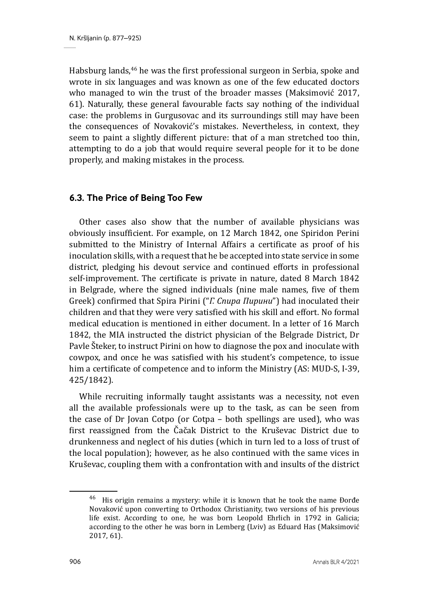Habsburg lands,46 he was the first professional surgeon in Serbia, spoke and wrote in six languages and was known as one of the few educated doctors who managed to win the trust of the broader masses (Maksimović 2017, 61). Naturally, these general favourable facts say nothing of the individual case: the problems in Gurgusovac and its surroundings still may have been the consequences of Novaković's mistakes. Nevertheless, in context, they seem to paint a slightly different picture: that of a man stretched too thin, attempting to do a job that would require several people for it to be done properly, and making mistakes in the process.

#### **6.3. The Price of Being Too Few**

Other cases also show that the number of available physicians was obviously insufficient. For example, on 12 March 1842, one Spiridon Perini submitted to the Ministry of Internal Affairs a certificate as proof of his inoculation skills, with a request that he be accepted into state service in some district, pledging his devout service and continued efforts in professional self-improvement. The certificate is private in nature, dated 8 March 1842 in Belgrade, where the signed individuals (nine male names, five of them Greek) confirmed that Spira Pirini ("*Г. Спира Пирини*") had inoculated their children and that they were very satisfied with his skill and effort. No formal medical education is mentioned in either document. In a letter of 16 March 1842, the MIA instructed the district physician of the Belgrade District, Dr Pavle Šteker, to instruct Pirini on how to diagnose the pox and inoculate with cowpox, and once he was satisfied with his student's competence, to issue him a certificate of competence and to inform the Ministry (AS: MUD-S, I-39, 425/1842).

While recruiting informally taught assistants was a necessity, not even all the available professionals were up to the task, as can be seen from the case of Dr Jovan Cotpo (or Cotpa – both spellings are used), who was first reassigned from the Čačak District to the Kruševac District due to drunkenness and neglect of his duties (which in turn led to a loss of trust of the local population); however, as he also continued with the same vices in Kruševac, coupling them with a confrontation with and insults of the district

<sup>46</sup> His origin remains a mystery: while it is known that he took the name Đorđe Novaković upon converting to Orthodox Christianity, two versions of his previous life exist. According to one, he was born Leopold Ehrlich in 1792 in Galicia; according to the other he was born in Lemberg (Lviv) as Eduard Has (Maksimović 2017, 61).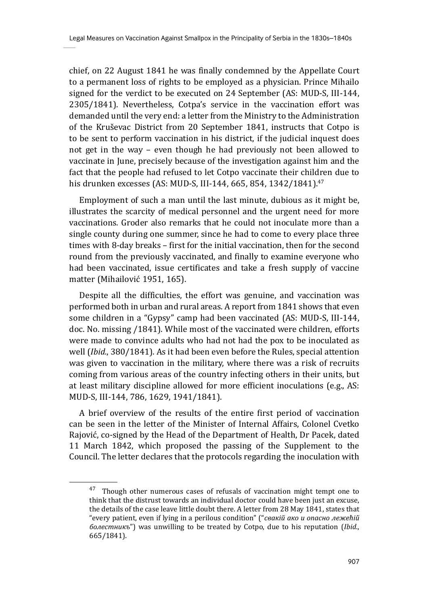chief, on 22 August 1841 he was finally condemned by the Appellate Court to a permanent loss of rights to be employed as a physician. Prince Mihailo signed for the verdict to be executed on 24 September (AS: MUD-S, III-144, 2305/1841). Nevertheless, Cotpa's service in the vaccination effort was demanded until the very end: a letter from the Ministry to the Administration of the Kruševac District from 20 September 1841, instructs that Cotpо is to be sent to perform vaccination in his district, if the judicial inquest does not get in the way – even though he had previously not been allowed to vaccinate in June, precisely because of the investigation against him and the fact that the people had refused to let Cotpо vaccinate their children due to his drunken excesses (AS: MUD-S, III-144, 665, 854, 1342/1841).<sup>47</sup>

Employment of such a man until the last minute, dubious as it might be, illustrates the scarcity of medical personnel and the urgent need for more vaccinations. Groder also remarks that he could not inoculate more than a single county during one summer, since he had to come to every place three times with 8-day breaks – first for the initial vaccination, then for the second round from the previously vaccinated, and finally to examine everyone who had been vaccinated, issue certificates and take a fresh supply of vaccine matter (Mihailović 1951, 165).

Despite all the difficulties, the effort was genuine, and vaccination was performed both in urban and rural areas. A report from 1841 shows that even some children in a "Gypsy" camp had been vaccinated (AS: MUD-S, III-144, doc. No. missing /1841). While most of the vaccinated were children, efforts were made to convince adults who had not had the pox to be inoculated as well (*Ibid.*, 380/1841). As it had been even before the Rules, special attention was given to vaccination in the military, where there was a risk of recruits coming from various areas of the country infecting others in their units, but at least military discipline allowed for more efficient inoculations (e.g., AS: MUD-S, III-144, 786, 1629, 1941/1841).

A brief overview of the results of the entire first period of vaccination can be seen in the letter of the Minister of Internal Affairs, Colonel Cvetko Rajović, co-signed by the Head of the Department of Health, Dr Pacek, dated 11 March 1842, which proposed the passing of the Supplement to the Council. The letter declares that the protocols regarding the inoculation with

<sup>&</sup>lt;sup>47</sup> Though other numerous cases of refusals of vaccination might tempt one to think that the distrust towards an individual doctor could have been just an excuse, the details of the case leave little doubt there. A letter from 28 May 1841, states that "every patient, even if lying in a perilous condition" ("*свакiй ако и опасно лежећiй болестникъ*") was unwilling to be treated by Cotpo, due to his reputation (*Ibid.*, 665/1841).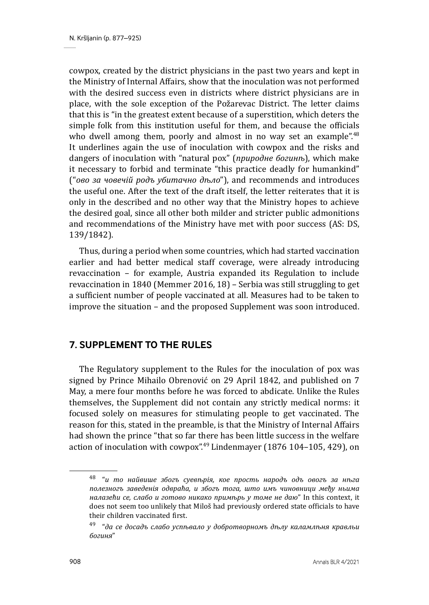cowpox, created by the district physicians in the past two years and kept in the Ministry of Internal Affairs, show that the inoculation was not performed with the desired success even in districts where district physicians are in place, with the sole exception of the Požarevac District. The letter claims that this is "in the greatest extent because of a superstition, which deters the simple folk from this institution useful for them, and because the officials who dwell among them, poorly and almost in no way set an example".<sup>48</sup> It underlines again the use of inoculation with cowpox and the risks and dangers of inoculation with "natural pox" (*природне богинѣ*), which make it necessary to forbid and terminate "this practice deadly for humankind" ("*ово за човечiй родъ убитачно дѣло*"), and recommends and introduces the useful one. After the text of the draft itself, the letter reiterates that it is only in the described and no other way that the Ministry hopes to achieve the desired goal, since all other both milder and stricter public admonitions and recommendations of the Ministry have met with poor success (AS: DS, 139/1842).

Thus, during a period when some countries, which had started vaccination earlier and had better medical staff coverage, were already introducing revaccination – for example, Austria expanded its Regulation to include revaccination in 1840 (Memmer 2016, 18) – Serbia was still struggling to get a sufficient number of people vaccinated at all. Measures had to be taken to improve the situation – and the proposed Supplement was soon introduced.

# **7. SUPPLEMENT TO THE RULES**

The Regulatory supplement to the Rules for the inoculation of pox was signed by Prince Mihailo Obrenović on 29 April 1842, and published on 7 May, a mere four months before he was forced to abdicate. Unlike the Rules themselves, the Supplement did not contain any strictly medical norms: it focused solely on measures for stimulating people to get vaccinated. The reason for this, stated in the preamble, is that the Ministry of Internal Affairs had shown the prince "that so far there has been little success in the welfare action of inoculation with cowpox".49 Lindenmayer (1876 104–105, 429), on

<sup>48 &</sup>quot;*и то найвише збогъ суевѣрiя, кое прость народъ одъ овогъ за нѣга полезногъ заведенiя одвраћа, и збогъ тога, што имъ чиновници међу ньима налазећи се, слабо и готово никако примѣрь у томе не даю*" In this context, it does not seem too unlikely that Miloš had previously ordered state officials to have their children vaccinated first.

<sup>49 &</sup>quot;*да се досадъ слабо успѣвало у добротворномъ дѣлу каламлѣня кравльи богиня*"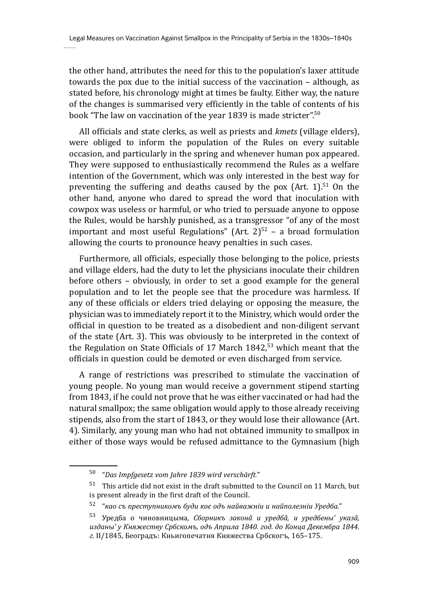the other hand, attributes the need for this to the population's laxer attitude towards the pox due to the initial success of the vaccination – although, as stated before, his chronology might at times be faulty. Either way, the nature of the changes is summarised very efficiently in the table of contents of his book "The law on vaccination of the year 1839 is made stricter".<sup>50</sup>

All officials and state clerks, as well as priests and *kmets* (village elders), were obliged to inform the population of the Rules on every suitable occasion, and particularly in the spring and whenever human pox appeared. They were supposed to enthusiastically recommend the Rules as a welfare intention of the Government, which was only interested in the best way for preventing the suffering and deaths caused by the pox  $(Art. 1).<sup>51</sup>$  On the other hand, anyone who dared to spread the word that inoculation with cowpox was useless or harmful, or who tried to persuade anyone to oppose the Rules, would be harshly punished, as a transgressor "of any of the most important and most useful Regulations" (Art.  $2^{52}$  – a broad formulation allowing the courts to pronounce heavy penalties in such cases.

Furthermore, all officials, especially those belonging to the police, priests and village elders, had the duty to let the physicians inoculate their children before others – obviously, in order to set a good example for the general population and to let the people see that the procedure was harmless. If any of these officials or elders tried delaying or opposing the measure, the physician was to immediately report it to the Ministry, which would order the official in question to be treated as a disobedient and non-diligent servant of the state (Art. 3). This was obviously to be interpreted in the context of the Regulation on State Officials of 17 March  $1842<sup>53</sup>$  which meant that the officials in question could be demoted or even discharged from service.

A range of restrictions was prescribed to stimulate the vaccination of young people. No young man would receive a government stipend starting from 1843, if he could not prove that he was either vaccinated or had had the natural smallpox; the same obligation would apply to those already receiving stipends, also from the start of 1843, or they would lose their allowance (Art. 4). Similarly, any young man who had not obtained immunity to smallpox in either of those ways would be refused admittance to the Gymnasium (high

<sup>50 &</sup>quot;*Das Impfgesetz vom Jahre 1839 wird verschärft.*"

 $51$  This article did not exist in the draft submitted to the Council on 11 March, but is present already in the first draft of the Council.

<sup>52 &</sup>quot;*као съ преступникомъ буди коє одъ найважнiи и найполезнiи Уредба.*"

<sup>53</sup> Уредба о чиновницыма, *Сборникъ законâ и уредбâ, и уредбены' указâ, изданы' у Княжеству Србскомъ, одъ Априла 1840. год. до Конца Декембра 1844. г.* II/1845, Београдъ: Кньигопечатня Княжества Србскогъ, 165–175.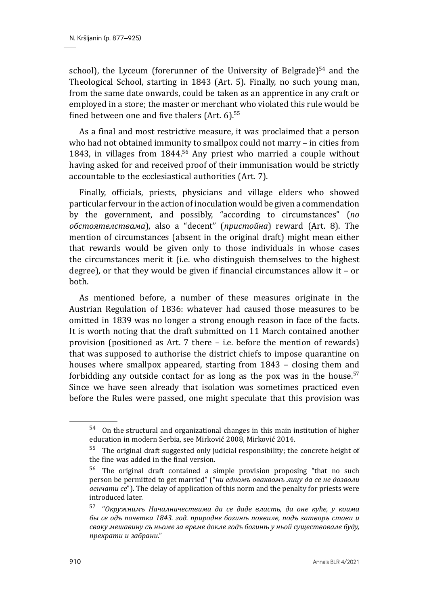school), the Lyceum (forerunner of the University of Belgrade) $54$  and the Theological School, starting in 1843 (Art. 5). Finally, no such young man, from the same date onwards, could be taken as an apprentice in any craft or employed in a store; the master or merchant who violated this rule would be fined between one and five thalers (Art.  $6$ ).<sup>55</sup>

As a final and most restrictive measure, it was proclaimed that a person who had not obtained immunity to smallpox could not marry – in cities from 1843, in villages from 1844.56 Any priest who married a couple without having asked for and received proof of their immunisation would be strictly accountable to the ecclesiastical authorities (Art. 7).

Finally, officials, priests, physicians and village elders who showed particular fervour in the action of inoculation would be given a commendation by the government, and possibly, "according to circumstances" (*по обстоятелствама*), also a "decent" (*пристойна*) reward (Art. 8). The mention of circumstances (absent in the original draft) might mean either that rewards would be given only to those individuals in whose cases the circumstances merit it (i.e. who distinguish themselves to the highest degree), or that they would be given if financial circumstances allow it – or both.

As mentioned before, a number of these measures originate in the Austrian Regulation of 1836: whatever had caused those measures to be omitted in 1839 was no longer a strong enough reason in face of the facts. It is worth noting that the draft submitted on 11 March contained another provision (positioned as Art. 7 there – i.e. before the mention of rewards) that was supposed to authorise the district chiefs to impose quarantine on houses where smallpox appeared, starting from 1843 – closing them and forbidding any outside contact for as long as the pox was in the house. $57$ Since we have seen already that isolation was sometimes practiced even before the Rules were passed, one might speculate that this provision was

<sup>54</sup> On the structural and organizational changes in this main institution of higher education in modern Serbia, see Mirković 2008, Mirković 2014.

 $55$  The original draft suggested only judicial responsibility; the concrete height of the fine was added in the final version.

<sup>56</sup> The original draft contained a simple provision proposing "that no such person be permitted to get married" ("*ни едномъ оваквомъ лицу да се не дозволи венчати се*"). The delay of application of this norm and the penalty for priests were introduced later.

<sup>57 &</sup>quot;*Окружнимъ Началничествима да се даде власть, да оне куће, у коима бы се одъ почетка 1843. год. природне богинѣ появиле, подъ затворъ стави и сваку мешавину съ ньоме за време докле годъ богинѣ у ньой существовале буду, прекрати и забрани.*"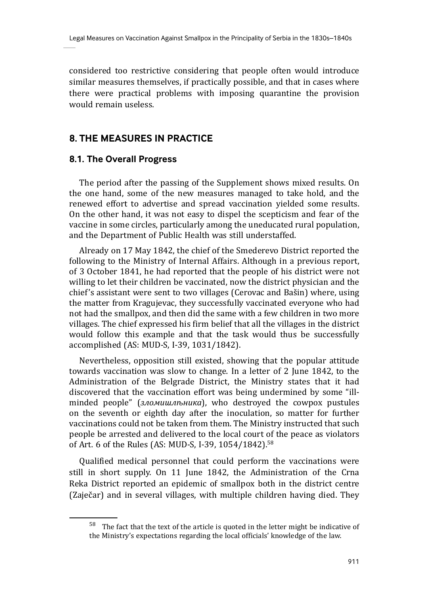considered too restrictive considering that people often would introduce similar measures themselves, if practically possible, and that in cases where there were practical problems with imposing quarantine the provision would remain useless.

# **8. THE MEASURES IN PRACTICE**

#### **8.1. The Overall Progress**

The period after the passing of the Supplement shows mixed results. On the one hand, some of the new measures managed to take hold, and the renewed effort to advertise and spread vaccination yielded some results. On the other hand, it was not easy to dispel the scepticism and fear of the vaccine in some circles, particularly among the uneducated rural population, and the Department of Public Health was still understaffed.

Already on 17 May 1842, the chief of the Smederevo District reported the following to the Ministry of Internal Affairs. Although in a previous report, of 3 October 1841, he had reported that the people of his district were not willing to let their children be vaccinated, now the district physician and the chief's assistant were sent to two villages (Cerovac and Bašin) where, using the matter from Kragujevac, they successfully vaccinated everyone who had not had the smallpox, and then did the same with a few children in two more villages. The chief expressed his firm belief that all the villages in the district would follow this example and that the task would thus be successfully accomplished (AS: MUD-S, I-39, 1031/1842).

Nevertheless, opposition still existed, showing that the popular attitude towards vaccination was slow to change. In a letter of 2 June 1842, to the Administration of the Belgrade District, the Ministry states that it had discovered that the vaccination effort was being undermined by some "illminded people" (*зломишлъника*), who destroyed the cowpox pustules on the seventh or eighth day after the inoculation, so matter for further vaccinations could not be taken from them. The Ministry instructed that such people be arrested and delivered to the local court of the peace as violators of Art. 6 of the Rules (AS: MUD-S, I-39, 1054/1842).<sup>58</sup>

Qualified medical personnel that could perform the vaccinations were still in short supply. On 11 June 1842, the Administration of the Crna Reka District reported an epidemic of smallpox both in the district centre (Zaječar) and in several villages, with multiple children having died. They

<sup>58</sup> The fact that the text of the article is quoted in the letter might be indicative of the Ministry's expectations regarding the local officials' knowledge of the law.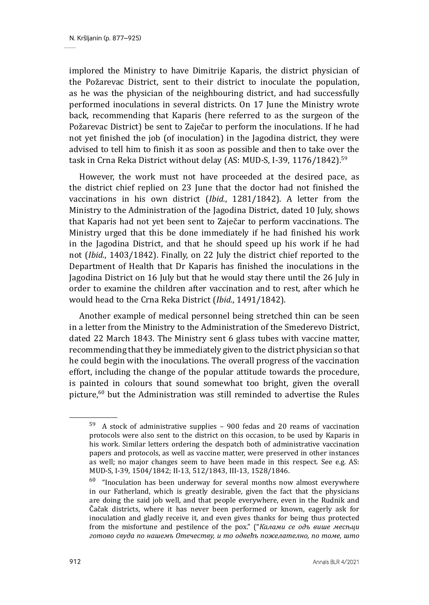implored the Ministry to have Dimitrije Kaparis, the district physician of the Požarevac District, sent to their district to inoculate the population, as he was the physician of the neighbouring district, and had successfully performed inoculations in several districts. On 17 June the Ministry wrote back, recommending that Kaparis (here referred to as the surgeon of the Požarevac District) be sent to Zaječar to perform the inoculations. If he had not yet finished the job (of inoculation) in the Jagodina district, they were advised to tell him to finish it as soon as possible and then to take over the task in Crna Reka District without delay (AS: MUD-S, I-39, 1176/1842).<sup>59</sup>

However, the work must not have proceeded at the desired pace, as the district chief replied on 23 June that the doctor had not finished the vaccinations in his own district (*Ibid.*, 1281/1842). A letter from the Ministry to the Administration of the Jagodina District, dated 10 July, shows that Kaparis had not yet been sent to Zaječar to perform vaccinations. The Ministry urged that this be done immediately if he had finished his work in the Jagodina District, and that he should speed up his work if he had not (*Ibid.*, 1403/1842). Finally, on 22 July the district chief reported to the Department of Health that Dr Kaparis has finished the inoculations in the Jagodina District on 16 July but that he would stay there until the 26 July in order to examine the children after vaccination and to rest, after which he would head to the Crna Reka District (*Ibid.*, 1491/1842).

Another example of medical personnel being stretched thin can be seen in a letter from the Ministry to the Administration of the Smederevo District, dated 22 March 1843. The Ministry sent 6 glass tubes with vaccine matter, recommending that they be immediately given to the district physician so that he could begin with the inoculations. The overall progress of the vaccination effort, including the change of the popular attitude towards the procedure, is painted in colours that sound somewhat too bright, given the overall picture,60 but the Administration was still reminded to advertise the Rules

<sup>59</sup> A stock of administrative supplies – 900 fedas and 20 reams of vaccination protocols were also sent to the district on this occasion, to be used by Kaparis in his work. Similar letters ordering the despatch both of administrative vaccination papers and protocols, as well as vaccine matter, were preserved in other instances as well; no major changes seem to have been made in this respect. See e.g. AS: MUD-S, I-39, 1504/1842; II-13, 512/1843, III-13, 1528/1846.

 $60$  "Inoculation has been underway for several months now almost everywhere in our Fatherland, which is greatly desirable, given the fact that the physicians are doing the said job well, and that people everywhere, even in the Rudnik and Čačak districts, where it has never been performed or known, eagerly ask for inoculation and gladly receive it, and even gives thanks for being thus protected from the misfortune and pestilence of the pox." ("*Калами се одъ више месѣци готово свуда по нашемъ Отечеству, и то одвећъ пожелателно, по томе, што*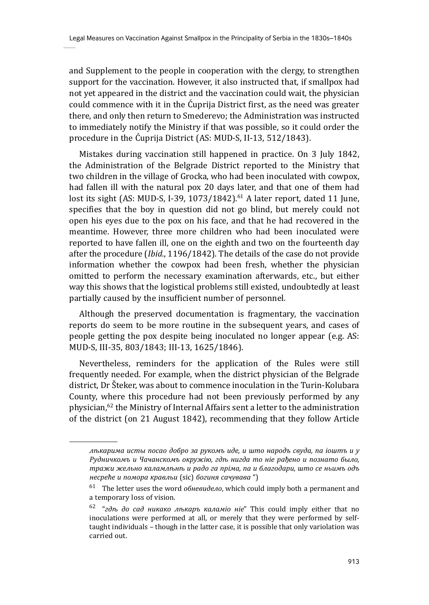and Supplement to the people in cooperation with the clergy, to strengthen support for the vaccination. However, it also instructed that, if smallpox had not yet appeared in the district and the vaccination could wait, the physician could commence with it in the Ćuprija District first, as the need was greater there, and only then return to Smederevo; the Administration was instructed to immediately notify the Ministry if that was possible, so it could order the procedure in the Ćuprija District (AS: MUD-S, II-13, 512/1843).

Mistakes during vaccination still happened in practice. On 3 July 1842, the Administration of the Belgrade District reported to the Ministry that two children in the village of Grocka, who had been inoculated with cowpox, had fallen ill with the natural pox 20 days later, and that one of them had lost its sight (AS: MUD-S, I-39, 1073/1842).<sup>61</sup> A later report, dated 11 June, specifies that the boy in question did not go blind, but merely could not open his eyes due to the pox on his face, and that he had recovered in the meantime. However, three more children who had been inoculated were reported to have fallen ill, one on the eighth and two on the fourteenth day after the procedure (*Ibid.*, 1196/1842). The details of the case do not provide information whether the cowpox had been fresh, whether the physician omitted to perform the necessary examination afterwards, etc., but either way this shows that the logistical problems still existed, undoubtedly at least partially caused by the insufficient number of personnel.

Although the preserved documentation is fragmentary, the vaccination reports do seem to be more routine in the subsequent years, and cases of people getting the pox despite being inoculated no longer appear (e.g. AS: MUD-S, III-35, 803/1843; III-13, 1625/1846).

Nevertheless, reminders for the application of the Rules were still frequently needed. For example, when the district physician of the Belgrade district, Dr Šteker, was about to commence inoculation in the Turin-Kolubara County, where this procedure had not been previously performed by any physician,  $62$  the Ministry of Internal Affairs sent a letter to the administration of the district (on 21 August 1842), recommending that they follow Article

*лѣкарима исты посао добро за рукомъ иде, и што народъ свуда, па iоштъ и у Рудничкомъ и Чачанскомъ окружiю, гдѣ нигда то нiе рађено и познато было, тражи жельно каламлѣнѣ и радо га прiма, па и благодари, што се ньимъ одъ несреће и помора кравльи* (sic) *богиня сачувава* ")

<sup>61</sup> The letter uses the word *обневидело*, which could imply both a permanent and a temporary loss of vision.

<sup>62 &</sup>quot;*гдѣ до сад никако лѣкаръ каламiо нiе*" This could imply either that no inoculations were performed at all, or merely that they were performed by selftaught individuals – though in the latter case, it is possible that only variolation was carried out.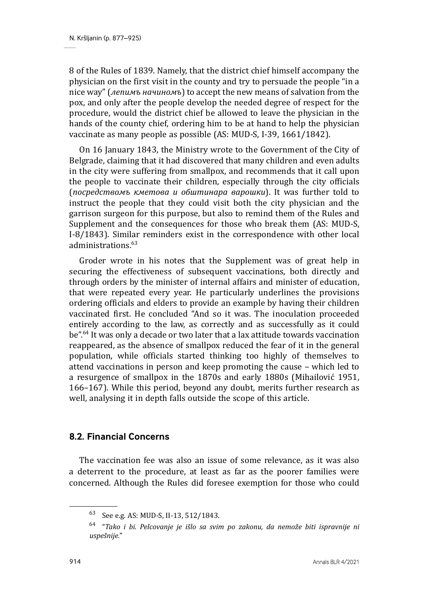8 of the Rules of 1839. Namely, that the district chief himself accompany the physician on the first visit in the county and try to persuade the people "in a nice way" (*лепимъ начиномъ*) to accept the new means of salvation from the pox, and only after the people develop the needed degree of respect for the procedure, would the district chief be allowed to leave the physician in the hands of the county chief, ordering him to be at hand to help the physician vaccinate as many people as possible (AS: MUD-S, I-39, 1661/1842).

On 16 January 1843, the Ministry wrote to the Government of the City of Belgrade, claiming that it had discovered that many children and even adults in the city were suffering from smallpox, and recommends that it call upon the people to vaccinate their children, especially through the city officials (*посредствомъ кметова и обштинара варошки*). It was further told to instruct the people that they could visit both the city physician and the garrison surgeon for this purpose, but also to remind them of the Rules and Supplement and the consequences for those who break them (AS: MUD-S, I-8/1843). Similar reminders exist in the correspondence with other local administrations<sup>63</sup>

Groder wrote in his notes that the Supplement was of great help in securing the effectiveness of subsequent vaccinations, both directly and through orders by the minister of internal affairs and minister of education, that were repeated every year. He particularly underlines the provisions ordering officials and elders to provide an example by having their children vaccinated first. He concluded "And so it was. The inoculation proceeded entirely according to the law, as correctly and as successfully as it could be".64 It was only a decade or two later that a lax attitude towards vaccination reappeared, as the absence of smallpox reduced the fear of it in the general population, while officials started thinking too highly of themselves to attend vaccinations in person and keep promoting the cause – which led to a resurgence of smallpox in the 1870s and early 1880s (Mihailović 1951, 166–167). While this period, beyond any doubt, merits further research as well, analysing it in depth falls outside the scope of this article.

# **8.2. Financial Concerns**

The vaccination fee was also an issue of some relevance, as it was also a deterrent to the procedure, at least as far as the poorer families were concerned. Although the Rules did foresee exemption for those who could

<sup>63</sup> See e.g. AS: MUD-S, II-13, 512/1843.

<sup>64 &</sup>quot;*Tako i bi. Pelcovanje je išlo sa svim po zakonu, da nemože biti ispravnije ni uspešnije.*"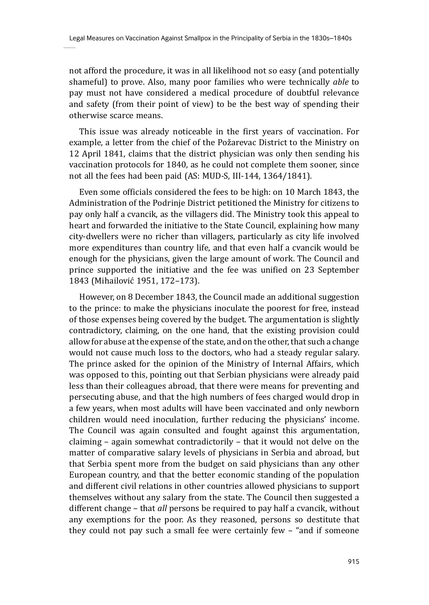not afford the procedure, it was in all likelihood not so easy (and potentially shameful) to prove. Also, many poor families who were technically *able* to pay must not have considered a medical procedure of doubtful relevance and safety (from their point of view) to be the best way of spending their otherwise scarce means.

This issue was already noticeable in the first years of vaccination. For example, a letter from the chief of the Požarevac District to the Ministry on 12 April 1841, claims that the district physician was only then sending his vaccination protocols for 1840, as he could not complete them sooner, since not all the fees had been paid (AS: MUD-S, III-144, 1364/1841).

Even some officials considered the fees to be high: on 10 March 1843, the Administration of the Podrinje District petitioned the Ministry for citizens to pay only half a cvancik, as the villagers did. The Ministry took this appeal to heart and forwarded the initiative to the State Council, explaining how many city-dwellers were no richer than villagers, particularly as city life involved more expenditures than country life, and that even half a cvancik would be enough for the physicians, given the large amount of work. The Council and prince supported the initiative and the fee was unified on 23 September 1843 (Mihailović 1951, 172–173).

However, on 8 December 1843, the Council made an additional suggestion to the prince: to make the physicians inoculate the poorest for free, instead of those expenses being covered by the budget. The argumentation is slightly contradictory, claiming, on the one hand, that the existing provision could allow for abuse at the expense of the state, and on the other, that such a change would not cause much loss to the doctors, who had a steady regular salary. The prince asked for the opinion of the Ministry of Internal Affairs, which was opposed to this, pointing out that Serbian physicians were already paid less than their colleagues abroad, that there were means for preventing and persecuting abuse, and that the high numbers of fees charged would drop in a few years, when most adults will have been vaccinated and only newborn children would need inoculation, further reducing the physicians' income. The Council was again consulted and fought against this argumentation, claiming – again somewhat contradictorily – that it would not delve on the matter of comparative salary levels of physicians in Serbia and abroad, but that Serbia spent more from the budget on said physicians than any other European country, and that the better economic standing of the population and different civil relations in other countries allowed physicians to support themselves without any salary from the state. The Council then suggested a different change – that *all* persons be required to pay half a cvancik, without any exemptions for the poor. As they reasoned, persons so destitute that they could not pay such a small fee were certainly few – "and if someone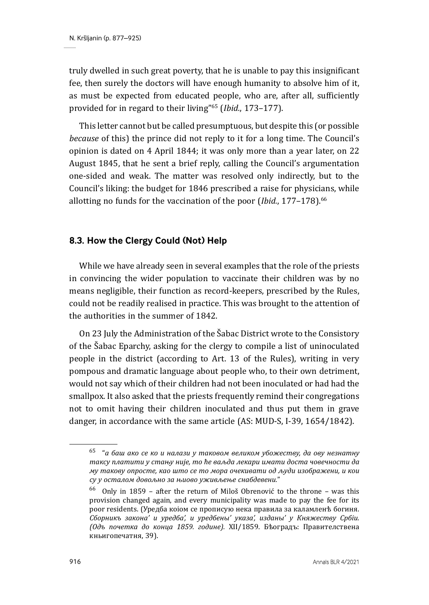truly dwelled in such great poverty, that he is unable to pay this insignificant fee, then surely the doctors will have enough humanity to absolve him of it, as must be expected from educated people, who are, after all, sufficiently provided for in regard to their living"65 (*Ibid.*, 173–177).

This letter cannot but be called presumptuous, but despite this (or possible *because* of this) the prince did not reply to it for a long time. The Council's opinion is dated on 4 April 1844; it was only more than a year later, on 22 August 1845, that he sent a brief reply, calling the Council's argumentation one-sided and weak. The matter was resolved only indirectly, but to the Council's liking: the budget for 1846 prescribed a raise for physicians, while allotting no funds for the vaccination of the poor (*Ibid.*, 177–178).66

### **8.3. How the Clergy Could (Not) Help**

While we have already seen in several examples that the role of the priests in convincing the wider population to vaccinate their children was by no means negligible, their function as record-keepers, prescribed by the Rules, could not be readily realised in practice. This was brought to the attention of the authorities in the summer of 1842.

On 23 July the Administration of the Šabac District wrote to the Consistory of the Šabac Eparchy, asking for the clergy to compile a list of uninoculated people in the district (according to Art. 13 of the Rules), writing in very pompous and dramatic language about people who, to their own detriment, would not say which of their children had not been inoculated or had had the smallpox. It also asked that the priests frequently remind their congregations not to omit having their children inoculated and thus put them in grave danger, in accordance with the same article (AS: MUD-S, I-39, 1654/1842).

<sup>65 &</sup>quot;*а баш ако се ко и налази у таковом великом убожеству, да ову незнатну таксу платити у стању није, то ће ваљда лекари имати доста човечности да му такову опросте, као што се то мора очекивати од људи изображени, и кои су у осталом довољно за њиово уживљење снабдевени.*"

<sup>66</sup> Only in 1859 – after the return of Miloš Obrenović to the throne – was this provision changed again, and every municipality was made to pay the fee for its poor residents. (Уредба коiом се прописую нека правила за каламленѣ богиня. *Сборникъ закона' и уредба', и уредбены' указа', изданы' у Княжеству Србiи. (Одъ почетка до конца 1859. године).* XII/1859. Бѣоградъ: Правителствена кньигопечатня, 39).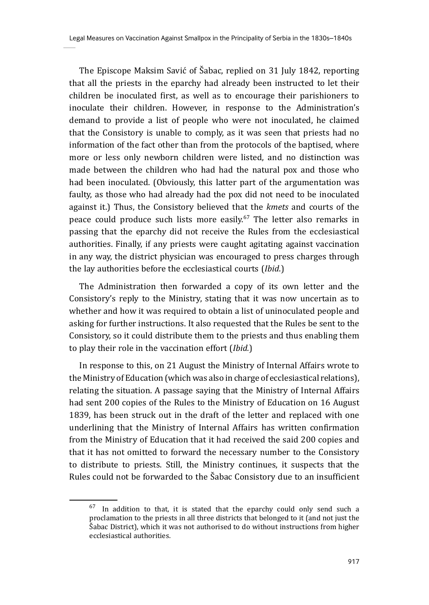The Episcope Maksim Savić of Šabac, replied on 31 July 1842, reporting that all the priests in the eparchy had already been instructed to let their children be inoculated first, as well as to encourage their parishioners to inoculate their children. However, in response to the Administration's demand to provide a list of people who were not inoculated, he claimed that the Consistory is unable to comply, as it was seen that priests had no information of the fact other than from the protocols of the baptised, where more or less only newborn children were listed, and no distinction was made between the children who had had the natural pox and those who had been inoculated. (Obviously, this latter part of the argumentation was faulty, as those who had already had the pox did not need to be inoculated against it.) Thus, the Consistory believed that the *kmets* and courts of the peace could produce such lists more easily.<sup>67</sup> The letter also remarks in passing that the eparchy did not receive the Rules from the ecclesiastical authorities. Finally, if any priests were caught agitating against vaccination in any way, the district physician was encouraged to press charges through the lay authorities before the ecclesiastical courts (*Ibid*.)

The Administration then forwarded a copy of its own letter and the Consistory's reply to the Ministry, stating that it was now uncertain as to whether and how it was required to obtain a list of uninoculated people and asking for further instructions. It also requested that the Rules be sent to the Consistory, so it could distribute them to the priests and thus enabling them to play their role in the vaccination effort (*Ibid.*)

In response to this, on 21 August the Ministry of Internal Affairs wrote to the Ministry of Education (which was also in charge of ecclesiastical relations), relating the situation. A passage saying that the Ministry of Internal Affairs had sent 200 copies of the Rules to the Ministry of Education on 16 August 1839, has been struck out in the draft of the letter and replaced with one underlining that the Ministry of Internal Affairs has written confirmation from the Ministry of Education that it had received the said 200 copies and that it has not omitted to forward the necessary number to the Consistory to distribute to priests. Still, the Ministry continues, it suspects that the Rules could not be forwarded to the Šabac Consistory due to an insufficient

 $67$  In addition to that, it is stated that the eparchy could only send such a proclamation to the priests in all three districts that belonged to it (and not just the Šabac District), which it was not authorised to do without instructions from higher ecclesiastical authorities.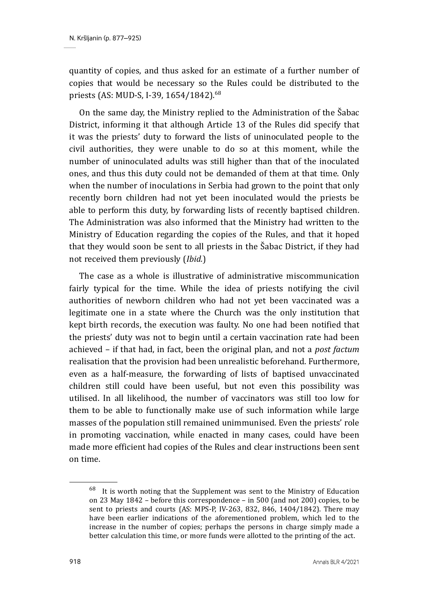quantity of copies, and thus asked for an estimate of a further number of copies that would be necessary so the Rules could be distributed to the priests (AS: MUD-S, I-39, 1654/1842).<sup>68</sup>

On the same day, the Ministry replied to the Administration of the Šabac District, informing it that although Article 13 of the Rules did specify that it was the priests' duty to forward the lists of uninoculated people to the civil authorities, they were unable to do so at this moment, while the number of uninoculated adults was still higher than that of the inoculated ones, and thus this duty could not be demanded of them at that time. Only when the number of inoculations in Serbia had grown to the point that only recently born children had not yet been inoculated would the priests be able to perform this duty, by forwarding lists of recently baptised children. The Administration was also informed that the Ministry had written to the Ministry of Education regarding the copies of the Rules, and that it hoped that they would soon be sent to all priests in the Šabac District, if they had not received them previously (*Ibid.*)

The case as a whole is illustrative of administrative miscommunication fairly typical for the time. While the idea of priests notifying the civil authorities of newborn children who had not yet been vaccinated was a legitimate one in a state where the Church was the only institution that kept birth records, the execution was faulty. No one had been notified that the priests' duty was not to begin until a certain vaccination rate had been achieved – if that had, in fact, been the original plan, and not a *post factum*  realisation that the provision had been unrealistic beforehand. Furthermore, even as a half-measure, the forwarding of lists of baptised unvaccinated children still could have been useful, but not even this possibility was utilised. In all likelihood, the number of vaccinators was still too low for them to be able to functionally make use of such information while large masses of the population still remained unimmunised. Even the priests' role in promoting vaccination, while enacted in many cases, could have been made more efficient had copies of the Rules and clear instructions been sent on time.

 $68$  It is worth noting that the Supplement was sent to the Ministry of Education on 23 May 1842 – before this correspondence – in 500 (and not 200) copies, to be sent to priests and courts (AS: MPS-P, IV-263, 832, 846, 1404/1842). There may have been earlier indications of the aforementioned problem, which led to the increase in the number of copies; perhaps the persons in charge simply made a better calculation this time, or more funds were allotted to the printing of the act.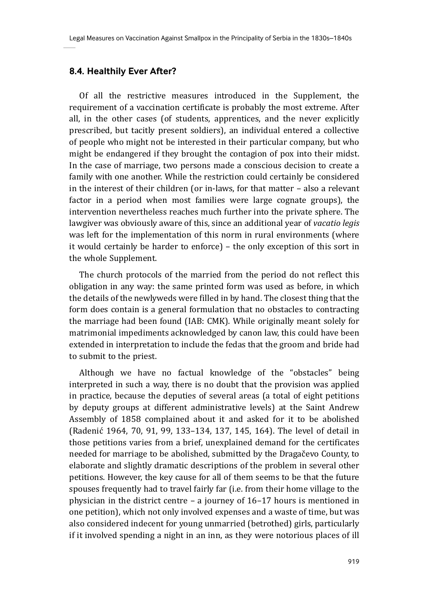#### **8.4. Healthily Ever After?**

Of all the restrictive measures introduced in the Supplement, the requirement of a vaccination certificate is probably the most extreme. After all, in the other cases (of students, apprentices, and the never explicitly prescribed, but tacitly present soldiers), an individual entered a collective of people who might not be interested in their particular company, but who might be endangered if they brought the contagion of pox into their midst. In the case of marriage, two persons made a conscious decision to create a family with one another. While the restriction could certainly be considered in the interest of their children (or in-laws, for that matter – also a relevant factor in a period when most families were large cognate groups), the intervention nevertheless reaches much further into the private sphere. The lawgiver was obviously aware of this, since an additional year of *vacatio legis* was left for the implementation of this norm in rural environments (where it would certainly be harder to enforce) – the only exception of this sort in the whole Supplement.

The church protocols of the married from the period do not reflect this obligation in any way: the same printed form was used as before, in which the details of the newlyweds were filled in by hand. The closest thing that the form does contain is a general formulation that no obstacles to contracting the marriage had been found (IAB: CMK). While originally meant solely for matrimonial impediments acknowledged by canon law, this could have been extended in interpretation to include the fedas that the groom and bride had to submit to the priest.

Although we have no factual knowledge of the "obstacles" being interpreted in such a way, there is no doubt that the provision was applied in practice, because the deputies of several areas (a total of eight petitions by deputy groups at different administrative levels) at the Saint Andrew Assembly of 1858 complained about it and asked for it to be abolished (Radenić 1964, 70, 91, 99, 133–134, 137, 145, 164). The level of detail in those petitions varies from a brief, unexplained demand for the certificates needed for marriage to be abolished, submitted by the Dragačevo County, to elaborate and slightly dramatic descriptions of the problem in several other petitions. However, the key cause for all of them seems to be that the future spouses frequently had to travel fairly far (i.e. from their home village to the physician in the district centre – a journey of 16–17 hours is mentioned in one petition), which not only involved expenses and a waste of time, but was also considered indecent for young unmarried (betrothed) girls, particularly if it involved spending a night in an inn, as they were notorious places of ill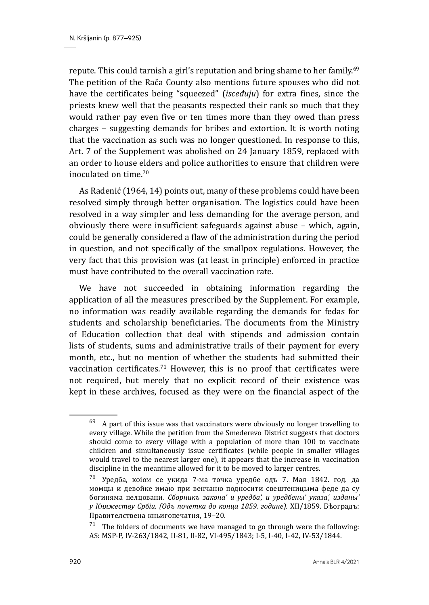repute. This could tarnish a girl's reputation and bring shame to her family.<sup>69</sup> The petition of the Rača County also mentions future spouses who did not have the certificates being "squeezed" (*isceđuju*) for extra fines, since the priests knew well that the peasants respected their rank so much that they would rather pay even five or ten times more than they owed than press charges – suggesting demands for bribes and extortion. It is worth noting that the vaccination as such was no longer questioned. In response to this, Art. 7 of the Supplement was abolished on 24 January 1859, replaced with an order to house elders and police authorities to ensure that children were inoculated on time.70

As Radenić (1964, 14) points out, many of these problems could have been resolved simply through better organisation. The logistics could have been resolved in a way simpler and less demanding for the average person, and obviously there were insufficient safeguards against abuse – which, again, could be generally considered a flaw of the administration during the period in question, and not specifically of the smallpox regulations. However, the very fact that this provision was (at least in principle) enforced in practice must have contributed to the overall vaccination rate.

We have not succeeded in obtaining information regarding the application of all the measures prescribed by the Supplement. For example, no information was readily available regarding the demands for fedas for students and scholarship beneficiaries. The documents from the Ministry of Education collection that deal with stipends and admission contain lists of students, sums and administrative trails of their payment for every month, etc., but no mention of whether the students had submitted their vaccination certificates.<sup>71</sup> However, this is no proof that certificates were not required, but merely that no explicit record of their existence was kept in these archives, focused as they were on the financial aspect of the

 $69$  A part of this issue was that vaccinators were obviously no longer travelling to every village. While the petition from the Smederevo District suggests that doctors should come to every village with a population of more than 100 to vaccinate children and simultaneously issue certificates (while people in smaller villages would travel to the nearest larger one), it appears that the increase in vaccination discipline in the meantime allowed for it to be moved to larger centres.

<sup>70</sup> Уредба, коiом се укида 7-ма точка уредбе одъ 7. Мая 1842. год. да момцы и девойке имаю при венчаню подносити свештеницыма феде да су богиняма пелцовани. *Сборникъ закона' и уредба', и уредбены' указа', изданы' у Княжеству Србiи. (Одъ почетка до конца 1859. године).* XII/1859. Бѣоградъ: Правителствена кньигопечатня, 19–20.

 $71$  The folders of documents we have managed to go through were the following: AS: MSP-P, IV-263/1842, II-81, II-82, VI-495/1843; I-5, I-40, I-42, IV-53/1844.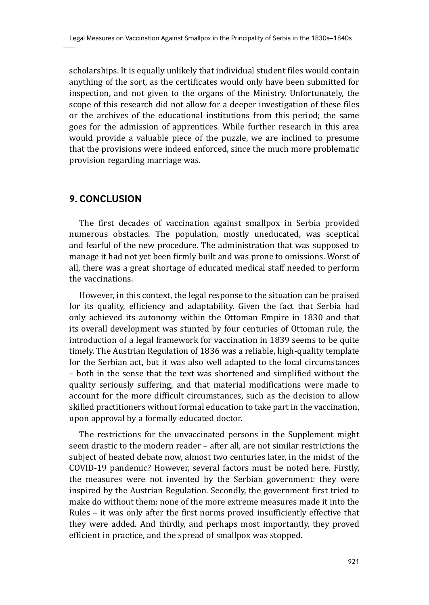scholarships. It is equally unlikely that individual student files would contain anything of the sort, as the certificates would only have been submitted for inspection, and not given to the organs of the Ministry. Unfortunately, the scope of this research did not allow for a deeper investigation of these files or the archives of the educational institutions from this period; the same goes for the admission of apprentices. While further research in this area would provide a valuable piece of the puzzle, we are inclined to presume that the provisions were indeed enforced, since the much more problematic provision regarding marriage was.

# **9. CONCLUSION**

The first decades of vaccination against smallpox in Serbia provided numerous obstacles. The population, mostly uneducated, was sceptical and fearful of the new procedure. The administration that was supposed to manage it had not yet been firmly built and was prone to omissions. Worst of all, there was a great shortage of educated medical staff needed to perform the vaccinations.

However, in this context, the legal response to the situation can be praised for its quality, efficiency and adaptability. Given the fact that Serbia had only achieved its autonomy within the Ottoman Empire in 1830 and that its overall development was stunted by four centuries of Ottoman rule, the introduction of a legal framework for vaccination in 1839 seems to be quite timely. The Austrian Regulation of 1836 was a reliable, high-quality template for the Serbian act, but it was also well adapted to the local circumstances – both in the sense that the text was shortened and simplified without the quality seriously suffering, and that material modifications were made to account for the more difficult circumstances, such as the decision to allow skilled practitioners without formal education to take part in the vaccination, upon approval by a formally educated doctor.

The restrictions for the unvaccinated persons in the Supplement might seem drastic to the modern reader – after all, are not similar restrictions the subject of heated debate now, almost two centuries later, in the midst of the COVID-19 pandemic? However, several factors must be noted here. Firstly, the measures were not invented by the Serbian government: they were inspired by the Austrian Regulation. Secondly, the government first tried to make do without them: none of the more extreme measures made it into the Rules – it was only after the first norms proved insufficiently effective that they were added. And thirdly, and perhaps most importantly, they proved efficient in practice, and the spread of smallpox was stopped.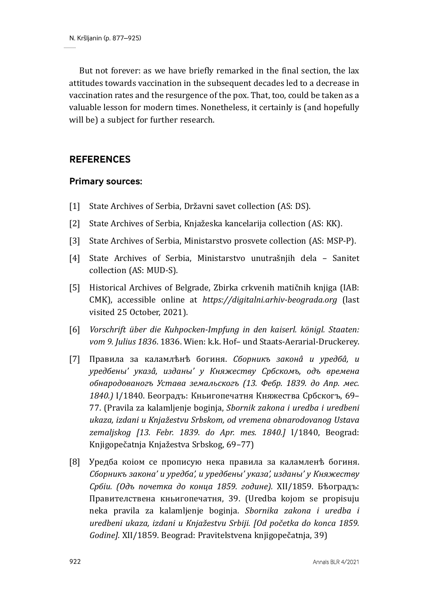But not forever: as we have briefly remarked in the final section, the lax attitudes towards vaccination in the subsequent decades led to a decrease in vaccination rates and the resurgence of the pox. That, too, could be taken as a valuable lesson for modern times. Nonetheless, it certainly is (and hopefully will be) a subject for further research.

# **REFERENCES**

### **Primary sources:**

- [1] State Archives of Serbia, Državni savet collection (AS: DS).
- [2] State Archives of Serbia, Knjažeska kancelarija collection (AS: KK).
- [3] State Archives of Serbia, Ministarstvo prosvete collection (AS: MSP-P).
- [4] State Archives of Serbia, Ministarstvo unutrašnjih dela Sanitet collection (AS: MUD-S).
- [5] Historical Archives of Belgrade, Zbirka crkvenih matičnih knjiga (IAB: CMK), accessible online at *https://digitalni.arhiv-beograda.org* (last visited 25 October, 2021).
- [6] *Vorschrift über die Kuhpocken-Impfung in den kaiserl. königl. Staaten: vom 9. Julius 1836*. 1836. Wien: k.k. Hof– und Staats-Aerarial-Druckerey.
- [7] Правила за каламлѣнѣ богиня. *Сборникъ законâ и уредбâ, и уредбены' указâ, изданы' у Княжеству Србскомъ, одъ времена обнародованогъ Устава земальскогъ (13. Фебр. 1839. до Апр. мес. 1840.)* I/1840. Београдъ: Кньигопечатня Княжества Србскогъ, 69– 77. (Pravila za kalamljenje boginja, *Sbornik zakona i uredba i uredbeni ukaza, izdani u Knjažestvu Srbskom, od vremena obnarodovanog Ustava zemaljskog [13. Febr. 1839. do Apr. mes. 1840.]* I/1840, Beograd: Knjigopečatnja Knjažestva Srbskog, 69–77)
- [8] Уредба коiом се прописую нека правила за каламленѣ богиня. *Сборникъ закона' и уредба', и уредбены' указа', изданы' у Княжеству Србiи. (Одъ почетка до конца 1859. године).* XII/1859. Бѣоградъ: Правителствена кньигопечатня, 39. (Uredba kojom se propisuju neka pravila za kalamljenje boginja. *Sbornika zakona i uredba i uredbeni ukaza, izdani u Knjažestvu Srbiji. [Od početka do konca 1859. Godine].* XII/1859. Beograd: Pravitelstvena knjigopečatnja, 39)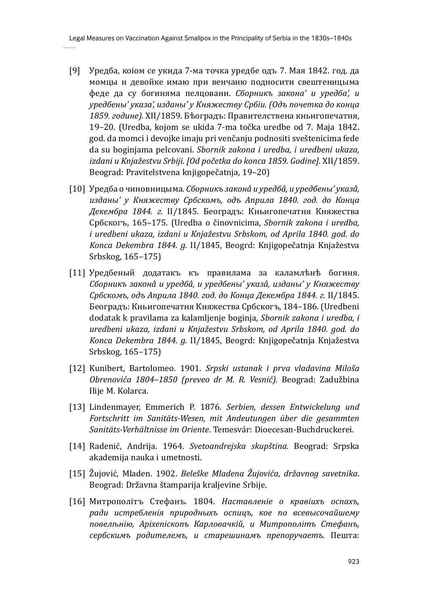- [9] Уредба, коiом се укида 7-ма точка уредбе одъ 7. Мая 1842. год. да момцы и девойке имаю при венчаню подносити свештеницыма феде да су богиняма пелцовани. *Сборникъ закона' и уредба', и уредбены' указа', изданы' у Княжеству Србiи. (Одъ почетка до конца 1859. године).* XII/1859. Бѣоградъ: Правителствена кньигопечатня, 19–20. (Uredba, kojom se ukida 7-ma točka uredbe od 7. Maja 1842. god. da momci i devojke imaju pri venčanju podnositi sveštenicima fede da su boginjama pelcovani. *Sbornik zakona i uredba, i uredbeni ukaza, izdani u Knjažestvu Srbiji. [Od početka do konca 1859. Godine].* XII/1859. Beograd: Pravitelstvena knjigopečatnja, 19–20)
- [10] Уредба о чиновницыма. *Сборникъ законâ и уредбâ, и уредбены' указâ, изданы' у Княжеству Србскомъ, одъ Априла 1840. год. до Конца Декембра 1844. г.* II/1845. Београдъ: Кньигопечатня Княжества Србскогъ, 165–175. (Uredba o činovnicima, *Sbornik zakona i uredba, i uredbeni ukaza, izdani u Knjažestvu Srbskom, od Aprila 1840. god. do Konca Dekembra 1844. g.* II/1845, Beogrd: Knjigopečatnja Knjažestva Srbskog, 165–175)
- [11] Уредбеный додатакъ къ правилама за каламлѣнѣ богиня. *Сборникъ законâ и уредбâ, и уредбены' указâ, изданы' у Княжеству Србскомъ, одъ Априла 1840. год. до Конца Декембра 1844. г.* II/1845. Београдъ: Кньигопечатня Княжества Србскогъ, 184–186. (Uredbeni dodatak k pravilama za kalamljenje boginja, *Sbornik zakona i uredba, i uredbeni ukaza, izdani u Knjažestvu Srbskom, od Aprila 1840. god. do Konca Dekembra 1844. g.* II/1845, Beogrd: Knjigopečatnja Knjažestva Srbskog, 165–175)
- [12] Kunibert, Bartolomeo. 1901. *Srpski ustanak i prva vladavina Miloša Obrenovića 1804–1850 (preveo dr M. R. Vesnić).* Beograd: Zadužbina Ilije M. Kolarca.
- [13] Lindenmayer, Emmerich P. 1876. *Serbien, dessen Entwickelung und Fortschritt im Sanitäts-Wesen, mit Andeutungen über die gesammten Sanitäts-Verhältnisse im Oriente*. Temesvár: Dioecesan-Buchdruckerei.
- [14] Radenić, Andrija. 1964. *Svetoandrejska skupština.* Beograd: Srpska akademija nauka i umetnosti.
- [15] Žujović, Mladen. 1902. *Beleške Mladena Žujovića, državnog savetnika*. Beograd: Državna štamparija kraljevine Srbije.
- [16] Митрополiтъ Стефанъ. 1804. *Наставленiе о кравiихъ оспахъ, ради истребленiя природныхъ оспицъ, кое по всевысочайшему повелѣнiю, Арiхепiскопъ Карловачкiй, и Митрополiтъ Стефанъ, сербскимъ родителемъ, и старешинамъ препоручаетъ.* Пешта: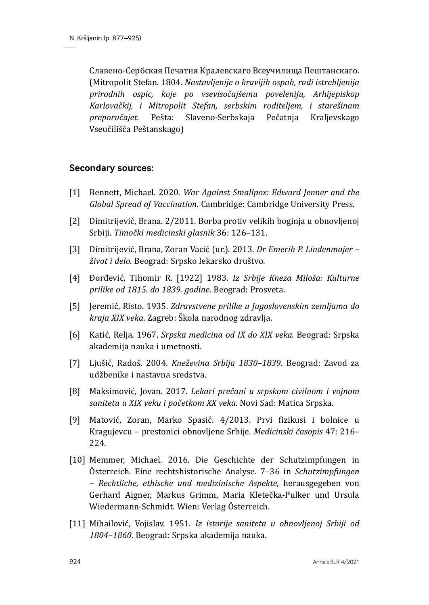Славено-Сербская Печатня Кралевскаго Всеучилища Пештанскаго. (Mitropolit Stefan. 1804. *Nastavljenije o kravijih ospah, radi istrebljenija prirodnih ospic, koje po vsevisočajšemu poveleniju, Arhijepiskop Karlovačkij, i Mitropolit Stefan, serbskim roditeljem, i starešinam preporučajet.* Pešta: Slaveno-Serbskaja Pečatnja Kraljevskago Vseučilišča Peštanskago)

### **Secondary sources:**

- [1] Bennett, Michael. 2020. *War Against Smallpox: Edward Jenner and the Global Spread of Vaccination*. Cambridge: Cambridge University Press.
- [2] Dimitrijević, Brana. 2/2011. Borba protiv velikih boginja u obnovljenoj Srbiji. *Timočki medicinski glasnik* 36: 126–131.
- [3] Dimitrijević, Brana, Zoran Vacić (ur.). 2013. *Dr Emerih P. Lindenmajer život i delo*. Beograd: Srpsko lekarsko društvo.
- [4] Đorđević, Tihomir R. [1922] 1983. *Iz Srbije Kneza Miloša: Kulturne prilike od 1815. do 1839. godine*. Beograd: Prosveta.
- [5] Jeremić, Risto. 1935. *Zdravstvene prilike u Jugoslovenskim zemljama do kraja XIX veka*. Zagreb: Škola narodnog zdravlja.
- [6] Katić, Relja. 1967. *Srpska medicina od IX do XIX veka.* Beograd: Srpska akademija nauka i umetnosti.
- [7] Ljušić, Radoš. 2004. *Kneževina Srbija 1830–1839*. Beograd: Zavod za udžbenike i nastavna sredstva.
- [8] Maksimović, Jovan. 2017. *Lekari prečani u srpskom civilnom i vojnom sanitetu u XIX veku i početkom XX veka*. Novi Sad: Matica Srpska.
- [9] Matović, Zoran, Marko Spasić. 4/2013. Prvi fizikusi i bolnice u Kragujevcu – prestonici obnovljene Srbije. *Medicinski časopis* 47: 216– 224.
- [10] Memmer, Michael. 2016. Die Geschichte der Schutzimpfungen in Österreich. Eine rechtshistorische Analyse. 7–36 in *Schutzimpfungen – Rechtliche, ethische und medizinische Aspekte*, herausgegeben von Gerhard Aigner, Markus Grimm, Maria Kletečka-Pulker und Ursula Wiedermann-Schmidt. Wien: Verlag Österreich.
- [11] Mihailović, Vojislav. 1951. *Iz istorije saniteta u obnovljenoj Srbiji od 1804–1860*. Beograd: Srpska akademija nauka.